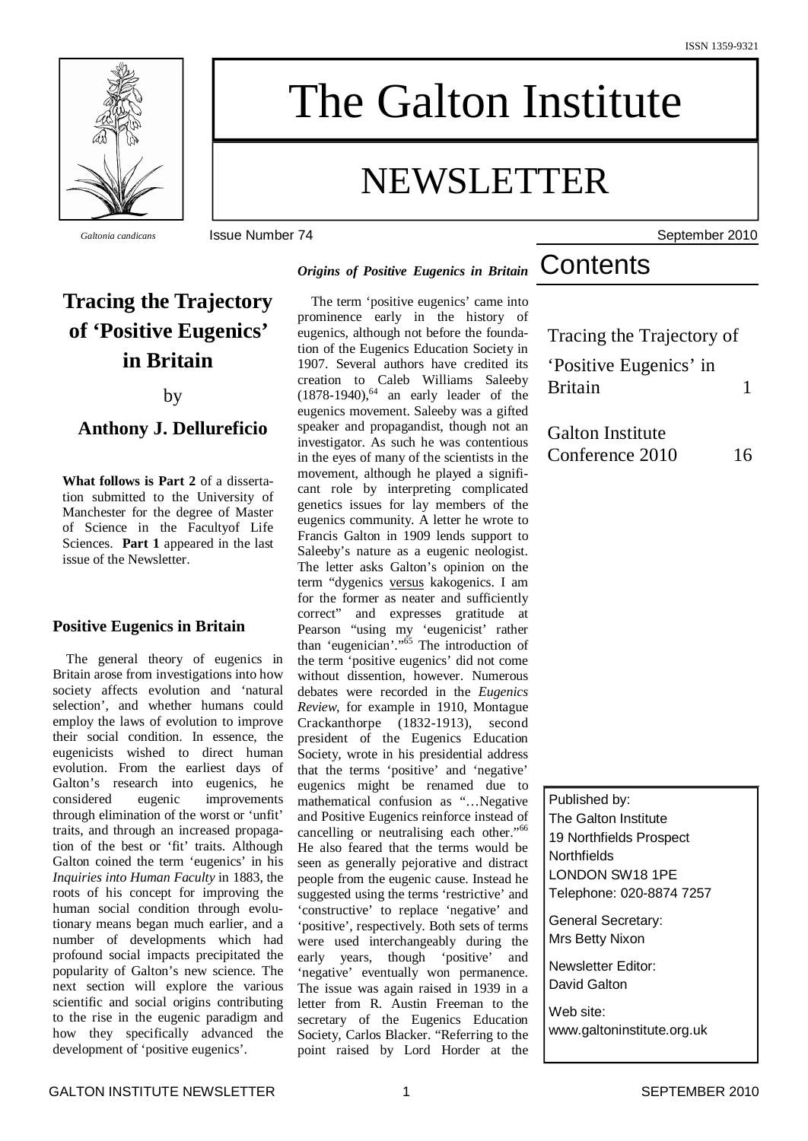

# The Galton Institute

# NEWSLETTER

*Galtonia candicans* Issue Number 74 September 2010

## **Tracing the Trajectory of 'Positive Eugenics' in Britain**

#### by

### **Anthony J. Dellureficio**

**What follows is Part 2** of a dissertation submitted to the University of Manchester for the degree of Master of Science in the Facultyof Life Sciences. **Part 1** appeared in the last issue of the Newsletter.

### **Positive Eugenics in Britain**

The general theory of eugenics in Britain arose from investigations into how society affects evolution and 'natural selection', and whether humans could employ the laws of evolution to improve their social condition. In essence, the eugenicists wished to direct human evolution. From the earliest days of Galton's research into eugenics, he considered eugenic improvements through elimination of the worst or 'unfit' traits, and through an increased propagation of the best or 'fit' traits. Although Galton coined the term 'eugenics' in his *Inquiries into Human Faculty* in 1883, the roots of his concept for improving the human social condition through evolutionary means began much earlier, and a number of developments which had profound social impacts precipitated the popularity of Galton's new science. The next section will explore the various scientific and social origins contributing to the rise in the eugenic paradigm and how they specifically advanced the development of 'positive eugenics'.

*Origins of Positive Eugenics in Britain*

The term 'positive eugenics' came into prominence early in the history of eugenics, although not before the foundation of the Eugenics Education Society in 1907. Several authors have credited its creation to Caleb Williams Saleeby  $(1878-1940)$ , <sup>64</sup> an early leader of the eugenics movement. Saleeby was a gifted speaker and propagandist, though not an investigator. As such he was contentious in the eyes of many of the scientists in the movement, although he played a significant role by interpreting complicated genetics issues for lay members of the eugenics community. A letter he wrote to Francis Galton in 1909 lends support to Saleeby's nature as a eugenic neologist. The letter asks Galton's opinion on the term "dygenics versus kakogenics. I am for the former as neater and sufficiently correct" and expresses gratitude at Pearson "using my 'eugenicist' rather than 'eugenician'." <sup>65</sup> The introduction of the term 'positive eugenics' did not come without dissention, however. Numerous debates were recorded in the *Eugenics Review*, for example in 1910, Montague Crackanthorpe (1832-1913), second president of the Eugenics Education Society, wrote in his presidential address that the terms 'positive' and 'negative' eugenics might be renamed due to mathematical confusion as "…Negative and Positive Eugenics reinforce instead of cancelling or neutralising each other."<sup>66</sup> He also feared that the terms would be seen as generally pejorative and distract people from the eugenic cause. Instead he suggested using the terms 'restrictive' and 'constructive' to replace 'negative' and 'positive', respectively. Both sets of terms were used interchangeably during the early years, though 'positive' and 'negative' eventually won permanence. The issue was again raised in 1939 in a letter from R. Austin Freeman to the secretary of the Eugenics Education Society, Carlos Blacker. "Referring to the point raised by Lord Horder at the

**Contents** 

Tracing the Trajectory of 'Positive Eugenics' in

Britain 1

Galton Institute Conference 2010 16

Published by:

The Galton Institute 19 Northfields Prospect **Northfields** LONDON SW18 1PE Telephone: 020-8874 7257

General Secretary: Mrs Betty Nixon

Newsletter Editor: David Galton

Web site: www.galtoninstitute.org.uk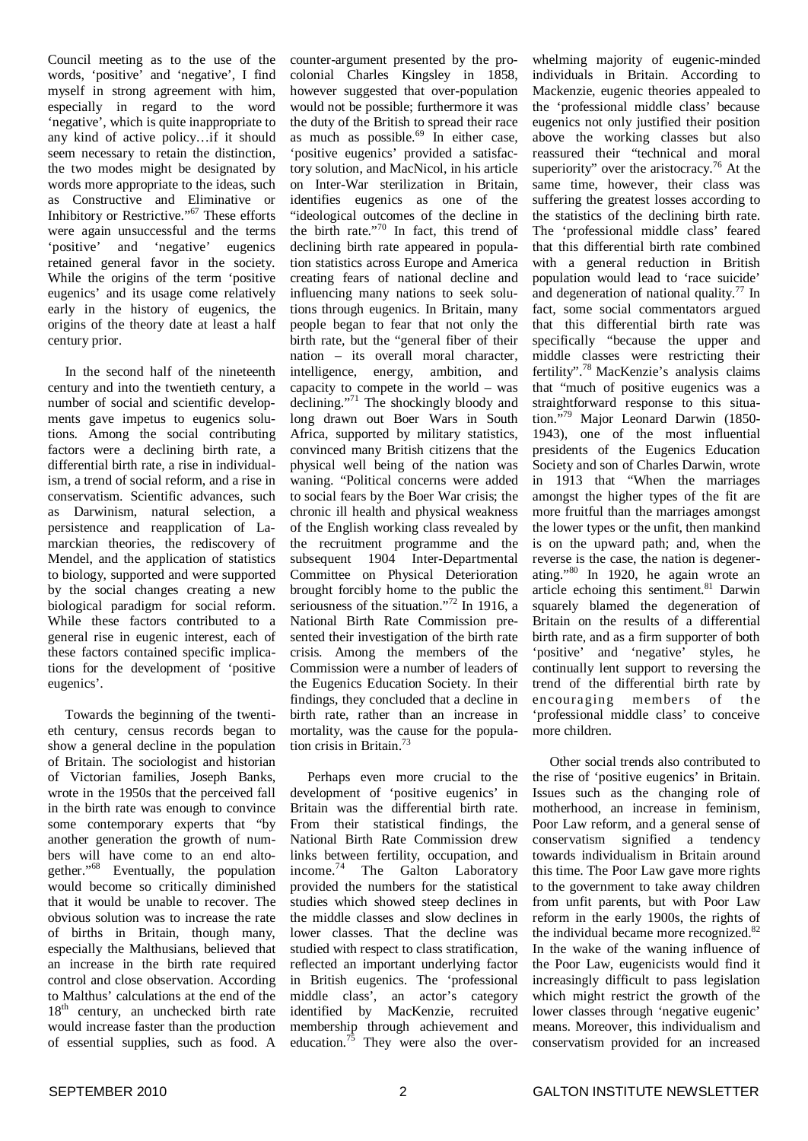Council meeting as to the use of the words, 'positive' and 'negative', I find myself in strong agreement with him, especially in regard to the word 'negative', which is quite inappropriate to any kind of active policy…if it should seem necessary to retain the distinction, the two modes might be designated by words more appropriate to the ideas, such as Constructive and Eliminative or Inhibitory or Restrictive."<sup>67</sup> These efforts were again unsuccessful and the terms 'positive' and 'negative' eugenics retained general favor in the society. While the origins of the term 'positive eugenics' and its usage come relatively early in the history of eugenics, the origins of the theory date at least a half century prior.

In the second half of the nineteenth century and into the twentieth century, a number of social and scientific developments gave impetus to eugenics solutions. Among the social contributing factors were a declining birth rate, a differential birth rate, a rise in individualism, a trend of social reform, and a rise in conservatism. Scientific advances, such as Darwinism, natural selection, a persistence and reapplication of Lamarckian theories, the rediscovery of Mendel, and the application of statistics to biology, supported and were supported by the social changes creating a new biological paradigm for social reform. While these factors contributed to a general rise in eugenic interest, each of these factors contained specific implications for the development of 'positive eugenics'.

Towards the beginning of the twentieth century, census records began to show a general decline in the population of Britain. The sociologist and historian of Victorian families, Joseph Banks, wrote in the 1950s that the perceived fall in the birth rate was enough to convince some contemporary experts that "by another generation the growth of numbers will have come to an end altogether."<sup>68</sup> Eventually, the population would become so critically diminished that it would be unable to recover. The obvious solution was to increase the rate of births in Britain, though many, especially the Malthusians, believed that an increase in the birth rate required control and close observation. According to Malthus' calculations at the end of the 18<sup>th</sup> century, an unchecked birth rate would increase faster than the production of essential supplies, such as food. A

counter-argument presented by the procolonial Charles Kingsley in 1858, however suggested that over-population would not be possible; furthermore it was the duty of the British to spread their race as much as possible. 69 In either case, 'positive eugenics' provided a satisfactory solution, and MacNicol, in his article on Inter-War sterilization in Britain, identifies eugenics as one of the "ideological outcomes of the decline in the birth rate." 70 In fact, this trend of declining birth rate appeared in population statistics across Europe and America creating fears of national decline and influencing many nations to seek solutions through eugenics. In Britain, many people began to fear that not only the birth rate, but the "general fiber of their nation – its overall moral character, intelligence, energy, ambition, and capacity to compete in the world – was declining."<sup>71</sup> The shockingly bloody and long drawn out Boer Wars in South Africa, supported by military statistics, convinced many British citizens that the physical well being of the nation was waning. "Political concerns were added to social fears by the Boer War crisis; the chronic ill health and physical weakness of the English working class revealed by the recruitment programme and the subsequent 1904 Inter-Departmental Committee on Physical Deterioration brought forcibly home to the public the seriousness of the situation."<sup>72</sup> In 1916, a National Birth Rate Commission presented their investigation of the birth rate crisis. Among the members of the Commission were a number of leaders of the Eugenics Education Society. In their findings, they concluded that a decline in birth rate, rather than an increase in mortality, was the cause for the population crisis in Britain. 73

Perhaps even more crucial to the development of 'positive eugenics' in Britain was the differential birth rate. From their statistical findings, the National Birth Rate Commission drew links between fertility, occupation, and income. <sup>74</sup> The Galton Laboratory provided the numbers for the statistical studies which showed steep declines in the middle classes and slow declines in lower classes. That the decline was studied with respect to class stratification, reflected an important underlying factor in British eugenics. The 'professional middle class', an actor's category identified by MacKenzie, recruited membership through achievement and education.<sup>75</sup> They were also the over-

whelming majority of eugenic-minded individuals in Britain. According to Mackenzie, eugenic theories appealed to the 'professional middle class' because eugenics not only justified their position above the working classes but also reassured their "technical and moral superiority" over the aristocracy.<sup>76</sup> At the same time, however, their class was suffering the greatest losses according to the statistics of the declining birth rate. The 'professional middle class' feared that this differential birth rate combined with a general reduction in British population would lead to 'race suicide' and degeneration of national quality.<sup>77</sup> In fact, some social commentators argued that this differential birth rate was specifically "because the upper and middle classes were restricting their fertility".<sup>78</sup> MacKenzie's analysis claims that "much of positive eugenics was a straightforward response to this situation." <sup>79</sup> Major Leonard Darwin (1850- 1943), one of the most influential presidents of the Eugenics Education Society and son of Charles Darwin, wrote in 1913 that "When the marriages amongst the higher types of the fit are more fruitful than the marriages amongst the lower types or the unfit, then mankind is on the upward path; and, when the reverse is the case, the nation is degenerating." 80 In 1920, he again wrote an article echoing this sentiment.<sup>81</sup> Darwin squarely blamed the degeneration of Britain on the results of a differential birth rate, and as a firm supporter of both 'positive' and 'negative' styles, he continually lent support to reversing the trend of the differential birth rate by encouraging members of the 'professional middle class' to conceive more children.

Other social trends also contributed to the rise of 'positive eugenics' in Britain. Issues such as the changing role of motherhood, an increase in feminism, Poor Law reform, and a general sense of conservatism signified a tendency towards individualism in Britain around this time. The Poor Law gave more rights to the government to take away children from unfit parents, but with Poor Law reform in the early 1900s, the rights of the individual became more recognized.<sup>82</sup> In the wake of the waning influence of the Poor Law, eugenicists would find it increasingly difficult to pass legislation which might restrict the growth of the lower classes through 'negative eugenic' means. Moreover, this individualism and conservatism provided for an increased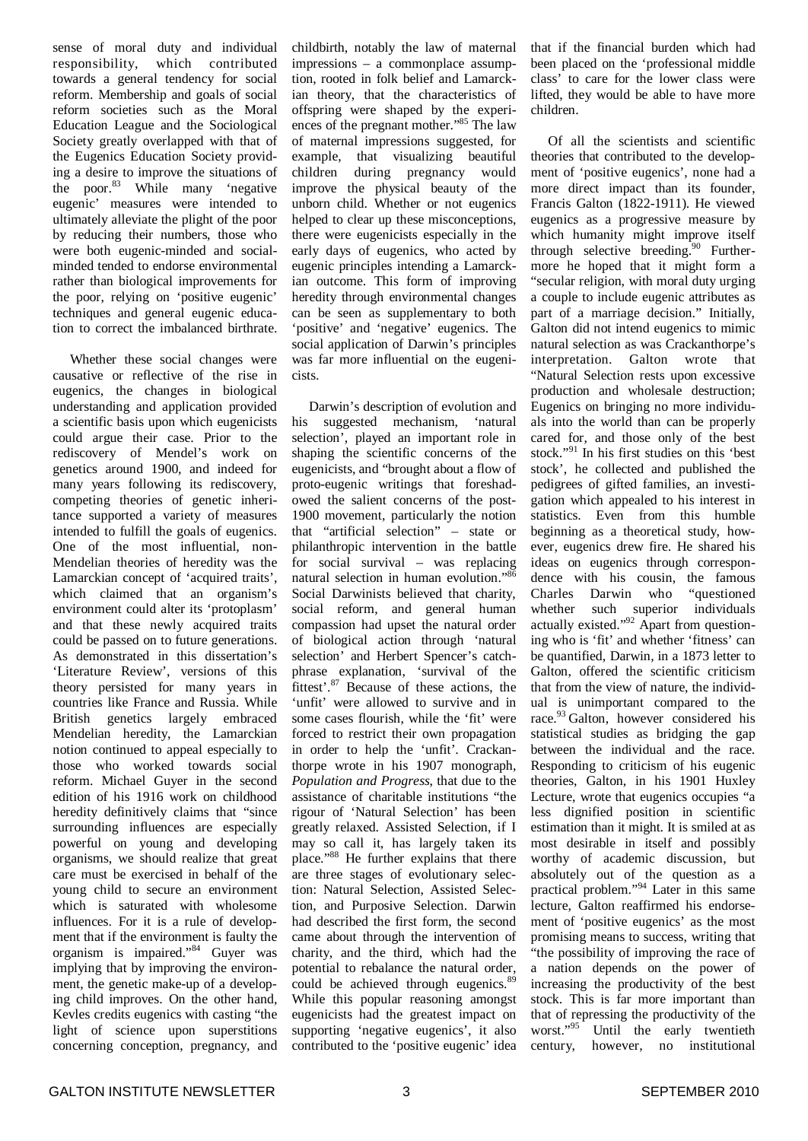sense of moral duty and individual responsibility, which contributed towards a general tendency for social reform. Membership and goals of social reform societies such as the Moral Education League and the Sociological Society greatly overlapped with that of the Eugenics Education Society providing a desire to improve the situations of the poor. <sup>83</sup> While many 'negative eugenic' measures were intended to ultimately alleviate the plight of the poor by reducing their numbers, those who were both eugenic-minded and socialminded tended to endorse environmental rather than biological improvements for the poor, relying on 'positive eugenic' techniques and general eugenic education to correct the imbalanced birthrate.

Whether these social changes were causative or reflective of the rise in eugenics, the changes in biological understanding and application provided a scientific basis upon which eugenicists could argue their case. Prior to the rediscovery of Mendel's work on genetics around 1900, and indeed for many years following its rediscovery, competing theories of genetic inheritance supported a variety of measures intended to fulfill the goals of eugenics. One of the most influential, non-Mendelian theories of heredity was the Lamarckian concept of 'acquired traits', which claimed that an organism's environment could alter its 'protoplasm' and that these newly acquired traits could be passed on to future generations. As demonstrated in this dissertation's 'Literature Review', versions of this theory persisted for many years in countries like France and Russia. While British genetics largely embraced Mendelian heredity, the Lamarckian notion continued to appeal especially to those who worked towards social reform. Michael Guyer in the second edition of his 1916 work on childhood heredity definitively claims that "since surrounding influences are especially powerful on young and developing organisms, we should realize that great care must be exercised in behalf of the young child to secure an environment which is saturated with wholesome influences. For it is a rule of development that if the environment is faulty the organism is impaired." <sup>84</sup> Guyer was implying that by improving the environment, the genetic make-up of a developing child improves. On the other hand, Kevles credits eugenics with casting "the light of science upon superstitions concerning conception, pregnancy, and

childbirth, notably the law of maternal impressions – a commonplace assumption, rooted in folk belief and Lamarckian theory, that the characteristics of offspring were shaped by the experiences of the pregnant mother." <sup>85</sup> The law of maternal impressions suggested, for example, that visualizing beautiful children during pregnancy would improve the physical beauty of the unborn child. Whether or not eugenics helped to clear up these misconceptions, there were eugenicists especially in the early days of eugenics, who acted by eugenic principles intending a Lamarckian outcome. This form of improving heredity through environmental changes can be seen as supplementary to both 'positive' and 'negative' eugenics. The social application of Darwin's principles was far more influential on the eugenicists.

Darwin's description of evolution and his suggested mechanism, 'natural selection', played an important role in shaping the scientific concerns of the eugenicists, and "brought about a flow of proto-eugenic writings that foreshadowed the salient concerns of the post-1900 movement, particularly the notion that "artificial selection" – state or philanthropic intervention in the battle for social survival – was replacing natural selection in human evolution." 86 Social Darwinists believed that charity, social reform, and general human compassion had upset the natural order of biological action through 'natural selection' and Herbert Spencer's catchphrase explanation, 'survival of the fittest'.<sup>87</sup> Because of these actions, the 'unfit' were allowed to survive and in some cases flourish, while the 'fit' were forced to restrict their own propagation in order to help the 'unfit'. Crackanthorpe wrote in his 1907 monograph, *Population and Progress*, that due to the assistance of charitable institutions "the rigour of 'Natural Selection' has been greatly relaxed. Assisted Selection, if I may so call it, has largely taken its place."<sup>88</sup> He further explains that there are three stages of evolutionary selection: Natural Selection, Assisted Selection, and Purposive Selection. Darwin had described the first form, the second came about through the intervention of charity, and the third, which had the potential to rebalance the natural order, could be achieved through eugenics.<sup>89</sup> While this popular reasoning amongst eugenicists had the greatest impact on supporting 'negative eugenics', it also contributed to the 'positive eugenic' idea

that if the financial burden which had been placed on the 'professional middle class' to care for the lower class were lifted, they would be able to have more children.

Of all the scientists and scientific theories that contributed to the development of 'positive eugenics', none had a more direct impact than its founder, Francis Galton (1822-1911). He viewed eugenics as a progressive measure by which humanity might improve itself through selective breeding.<sup>90</sup> Furthermore he hoped that it might form a "secular religion, with moral duty urging a couple to include eugenic attributes as part of a marriage decision." Initially, Galton did not intend eugenics to mimic natural selection as was Crackanthorpe's interpretation. Galton wrote that "Natural Selection rests upon excessive production and wholesale destruction; Eugenics on bringing no more individuals into the world than can be properly cared for, and those only of the best stock." 91 In his first studies on this 'best stock', he collected and published the pedigrees of gifted families, an investigation which appealed to his interest in statistics. Even from this humble beginning as a theoretical study, however, eugenics drew fire. He shared his ideas on eugenics through correspondence with his cousin, the famous Charles Darwin who "questioned whether such superior individuals actually existed."<sup>92</sup> Apart from questioning who is 'fit' and whether 'fitness' can be quantified, Darwin, in a 1873 letter to Galton, offered the scientific criticism that from the view of nature, the individual is unimportant compared to the race. <sup>93</sup> Galton, however considered his statistical studies as bridging the gap between the individual and the race. Responding to criticism of his eugenic theories, Galton, in his 1901 Huxley Lecture, wrote that eugenics occupies "a less dignified position in scientific estimation than it might. It is smiled at as most desirable in itself and possibly worthy of academic discussion, but absolutely out of the question as a practical problem." <sup>94</sup> Later in this same lecture, Galton reaffirmed his endorsement of 'positive eugenics' as the most promising means to success, writing that "the possibility of improving the race of a nation depends on the power of increasing the productivity of the best stock. This is far more important than that of repressing the productivity of the worst." <sup>95</sup> Until the early twentieth century, however, no institutional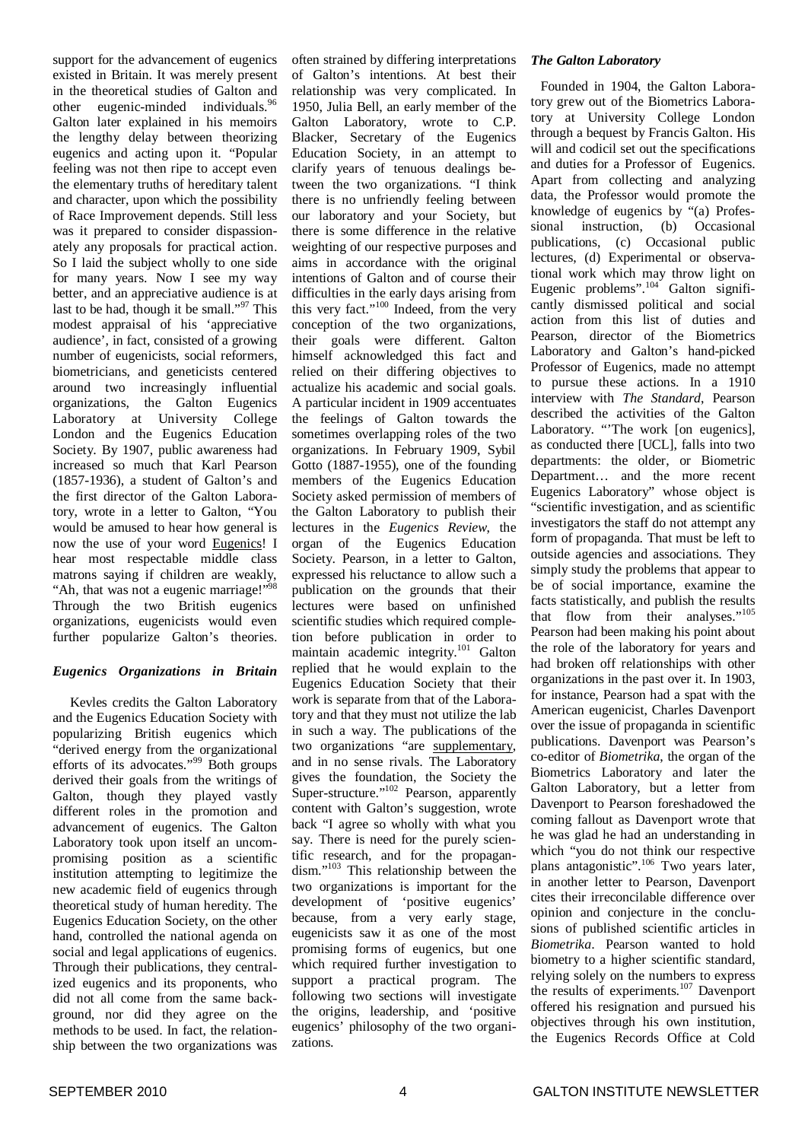support for the advancement of eugenics existed in Britain. It was merely present in the theoretical studies of Galton and other eugenic-minded individuals.<sup>96</sup> Galton later explained in his memoirs the lengthy delay between theorizing eugenics and acting upon it. "Popular feeling was not then ripe to accept even the elementary truths of hereditary talent and character, upon which the possibility of Race Improvement depends. Still less was it prepared to consider dispassionately any proposals for practical action. So I laid the subject wholly to one side for many years. Now I see my way better, and an appreciative audience is at last to be had, though it be small."<sup>97</sup> This modest appraisal of his 'appreciative audience', in fact, consisted of a growing number of eugenicists, social reformers, biometricians, and geneticists centered around two increasingly influential organizations, the Galton Eugenics Laboratory at University College London and the Eugenics Education Society. By 1907, public awareness had increased so much that Karl Pearson (1857-1936), a student of Galton's and the first director of the Galton Laboratory, wrote in a letter to Galton, "You would be amused to hear how general is now the use of your word Eugenics! I hear most respectable middle class matrons saying if children are weakly, "Ah, that was not a eugenic marriage!"<sup>98</sup> Through the two British eugenics organizations, eugenicists would even further popularize Galton's theories.

### *Eugenics Organizations in Britain*

Kevles credits the Galton Laboratory and the Eugenics Education Society with popularizing British eugenics which "derived energy from the organizational efforts of its advocates."<sup>99</sup> Both groups derived their goals from the writings of Galton, though they played vastly different roles in the promotion and advancement of eugenics. The Galton Laboratory took upon itself an uncompromising position as a scientific institution attempting to legitimize the new academic field of eugenics through theoretical study of human heredity. The Eugenics Education Society, on the other hand, controlled the national agenda on social and legal applications of eugenics. Through their publications, they centralized eugenics and its proponents, who did not all come from the same background, nor did they agree on the methods to be used. In fact, the relationship between the two organizations was often strained by differing interpretations of Galton's intentions. At best their relationship was very complicated. In 1950, Julia Bell, an early member of the Galton Laboratory, wrote to C.P. Blacker, Secretary of the Eugenics Education Society, in an attempt to clarify years of tenuous dealings between the two organizations. "I think there is no unfriendly feeling between our laboratory and your Society, but there is some difference in the relative weighting of our respective purposes and aims in accordance with the original intentions of Galton and of course their difficulties in the early days arising from this very fact."<sup>100</sup> Indeed, from the very conception of the two organizations, their goals were different. Galton himself acknowledged this fact and relied on their differing objectives to actualize his academic and social goals. A particular incident in 1909 accentuates the feelings of Galton towards the sometimes overlapping roles of the two organizations. In February 1909, Sybil Gotto (1887-1955), one of the founding members of the Eugenics Education Society asked permission of members of the Galton Laboratory to publish their lectures in the *Eugenics Review*, the organ of the Eugenics Education Society. Pearson, in a letter to Galton, expressed his reluctance to allow such a publication on the grounds that their lectures were based on unfinished scientific studies which required completion before publication in order to maintain academic integrity. <sup>101</sup> Galton replied that he would explain to the Eugenics Education Society that their work is separate from that of the Laboratory and that they must not utilize the lab in such a way. The publications of the two organizations "are supplementary, and in no sense rivals. The Laboratory gives the foundation, the Society the Super-structure."<sup>102</sup> Pearson, apparently content with Galton's suggestion, wrote back "I agree so wholly with what you say. There is need for the purely scientific research, and for the propagandism." <sup>103</sup> This relationship between the two organizations is important for the development of 'positive eugenics' because, from a very early stage, eugenicists saw it as one of the most promising forms of eugenics, but one which required further investigation to support a practical program. The following two sections will investigate the origins, leadership, and 'positive eugenics' philosophy of the two organizations.

#### *The Galton Laboratory*

Founded in 1904, the Galton Laboratory grew out of the Biometrics Laboratory at University College London through a bequest by Francis Galton. His will and codicil set out the specifications and duties for a Professor of Eugenics. Apart from collecting and analyzing data, the Professor would promote the knowledge of eugenics by "(a) Professional instruction, (b) Occasional publications, (c) Occasional public lectures, (d) Experimental or observational work which may throw light on Eugenic problems".<sup>104</sup> Galton significantly dismissed political and social action from this list of duties and Pearson, director of the Biometrics Laboratory and Galton's hand-picked Professor of Eugenics, made no attempt to pursue these actions. In a 1910 interview with *The Standard*, Pearson described the activities of the Galton Laboratory. "The work [on eugenics], as conducted there [UCL], falls into two departments: the older, or Biometric Department… and the more recent Eugenics Laboratory" whose object is "scientific investigation, and as scientific investigators the staff do not attempt any form of propaganda. That must be left to outside agencies and associations. They simply study the problems that appear to be of social importance, examine the facts statistically, and publish the results that flow from their analyses."<sup>105</sup> Pearson had been making his point about the role of the laboratory for years and had broken off relationships with other organizations in the past over it. In 1903, for instance, Pearson had a spat with the American eugenicist, Charles Davenport over the issue of propaganda in scientific publications. Davenport was Pearson's co-editor of *Biometrika*, the organ of the Biometrics Laboratory and later the Galton Laboratory, but a letter from Davenport to Pearson foreshadowed the coming fallout as Davenport wrote that he was glad he had an understanding in which "you do not think our respective plans antagonistic".<sup>106</sup> Two years later, in another letter to Pearson, Davenport cites their irreconcilable difference over opinion and conjecture in the conclusions of published scientific articles in *Biometrika*. Pearson wanted to hold biometry to a higher scientific standard, relying solely on the numbers to express the results of experiments.<sup>107</sup> Davenport offered his resignation and pursued his objectives through his own institution, the Eugenics Records Office at Cold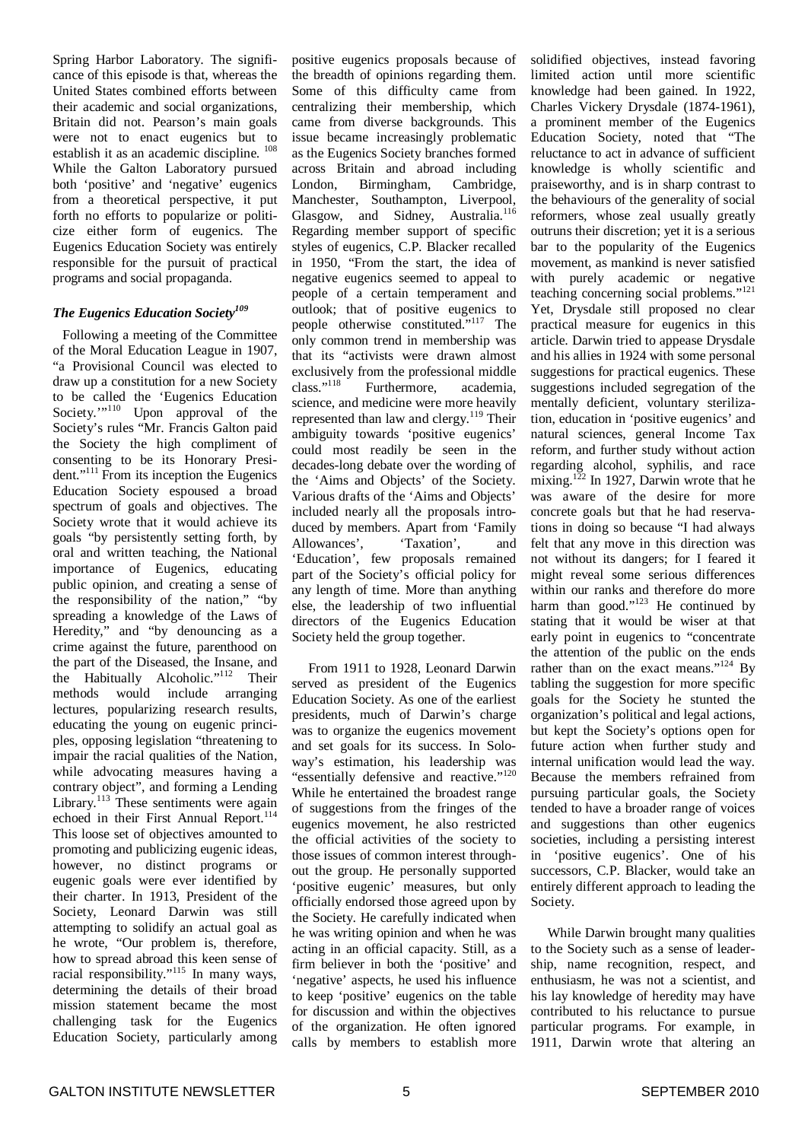Spring Harbor Laboratory. The significance of this episode is that, whereas the United States combined efforts between their academic and social organizations, Britain did not. Pearson's main goals were not to enact eugenics but to establish it as an academic discipline. <sup>108</sup> While the Galton Laboratory pursued both 'positive' and 'negative' eugenics from a theoretical perspective, it put forth no efforts to popularize or politicize either form of eugenics. The Eugenics Education Society was entirely responsible for the pursuit of practical programs and social propaganda.

### *The Eugenics Education Society 109*

Following a meeting of the Committee of the Moral Education League in 1907, "a Provisional Council was elected to draw up a constitution for a new Society to be called the 'Eugenics Education Society."<sup>110</sup> Upon approval of the Society's rules "Mr. Francis Galton paid the Society the high compliment of consenting to be its Honorary President."<sup>111</sup> From its inception the Eugenics Education Society espoused a broad spectrum of goals and objectives. The Society wrote that it would achieve its goals "by persistently setting forth, by oral and written teaching, the National importance of Eugenics, educating public opinion, and creating a sense of the responsibility of the nation," "by spreading a knowledge of the Laws of Heredity," and "by denouncing as a crime against the future, parenthood on the part of the Diseased, the Insane, and the Habitually Alcoholic."<sup>112</sup> Their methods would include arranging lectures, popularizing research results, educating the young on eugenic principles, opposing legislation "threatening to impair the racial qualities of the Nation, while advocating measures having a contrary object", and forming a Lending Library.<sup>113</sup> These sentiments were again echoed in their First Annual Report.<sup>114</sup> This loose set of objectives amounted to promoting and publicizing eugenic ideas, however, no distinct programs or eugenic goals were ever identified by their charter. In 1913, President of the Society, Leonard Darwin was still attempting to solidify an actual goal as he wrote, "Our problem is, therefore, how to spread abroad this keen sense of racial responsibility." 115 In many ways, determining the details of their broad mission statement became the most challenging task for the Eugenics Education Society, particularly among

positive eugenics proposals because of the breadth of opinions regarding them. Some of this difficulty came from centralizing their membership, which came from diverse backgrounds. This issue became increasingly problematic as the Eugenics Society branches formed across Britain and abroad including London, Birmingham, Cambridge, Manchester, Southampton, Liverpool, Glasgow, and Sidney, Australia.<sup>116</sup> Regarding member support of specific styles of eugenics, C.P. Blacker recalled in 1950, "From the start, the idea of negative eugenics seemed to appeal to people of a certain temperament and outlook; that of positive eugenics to people otherwise constituted." <sup>117</sup> The only common trend in membership was that its "activists were drawn almost exclusively from the professional middle class." 118 Furthermore, academia, science, and medicine were more heavily represented than law and clergy.<sup>119</sup> Their ambiguity towards 'positive eugenics' could most readily be seen in the decades-long debate over the wording of the 'Aims and Objects' of the Society. Various drafts of the 'Aims and Objects' included nearly all the proposals introduced by members. Apart from 'Family Allowances', 'Taxation', and Allowances', 'Taxation', and 'Education', few proposals remained part of the Society's official policy for any length of time. More than anything else, the leadership of two influential directors of the Eugenics Education Society held the group together.

From 1911 to 1928, Leonard Darwin served as president of the Eugenics Education Society. As one of the earliest presidents, much of Darwin's charge was to organize the eugenics movement and set goals for its success. In Soloway's estimation, his leadership was "essentially defensive and reactive."<sup>120</sup> While he entertained the broadest range of suggestions from the fringes of the eugenics movement, he also restricted the official activities of the society to those issues of common interest throughout the group. He personally supported 'positive eugenic' measures, but only officially endorsed those agreed upon by the Society. He carefully indicated when he was writing opinion and when he was acting in an official capacity. Still, as a firm believer in both the 'positive' and 'negative' aspects, he used his influence to keep 'positive' eugenics on the table for discussion and within the objectives of the organization. He often ignored calls by members to establish more

solidified objectives, instead favoring limited action until more scientific knowledge had been gained. In 1922, Charles Vickery Drysdale (1874-1961), a prominent member of the Eugenics Education Society, noted that "The reluctance to act in advance of sufficient knowledge is wholly scientific and praiseworthy, and is in sharp contrast to the behaviours of the generality of social reformers, whose zeal usually greatly outruns their discretion; yet it is a serious bar to the popularity of the Eugenics movement, as mankind is never satisfied with purely academic or negative teaching concerning social problems." 121 Yet, Drysdale still proposed no clear practical measure for eugenics in this article. Darwin tried to appease Drysdale and his allies in 1924 with some personal suggestions for practical eugenics. These suggestions included segregation of the mentally deficient, voluntary sterilization, education in 'positive eugenics' and natural sciences, general Income Tax reform, and further study without action regarding alcohol, syphilis, and race mixing.<sup>122</sup> In 1927, Darwin wrote that he was aware of the desire for more concrete goals but that he had reservations in doing so because "I had always felt that any move in this direction was not without its dangers; for I feared it might reveal some serious differences within our ranks and therefore do more harm than good."<sup>123</sup> He continued by stating that it would be wiser at that early point in eugenics to "concentrate the attention of the public on the ends rather than on the exact means."<sup>124</sup> By tabling the suggestion for more specific goals for the Society he stunted the organization's political and legal actions, but kept the Society's options open for future action when further study and internal unification would lead the way. Because the members refrained from pursuing particular goals, the Society tended to have a broader range of voices and suggestions than other eugenics societies, including a persisting interest in 'positive eugenics'. One of his successors, C.P. Blacker, would take an entirely different approach to leading the Society.

While Darwin brought many qualities to the Society such as a sense of leadership, name recognition, respect, and enthusiasm, he was not a scientist, and his lay knowledge of heredity may have contributed to his reluctance to pursue particular programs. For example, in 1911, Darwin wrote that altering an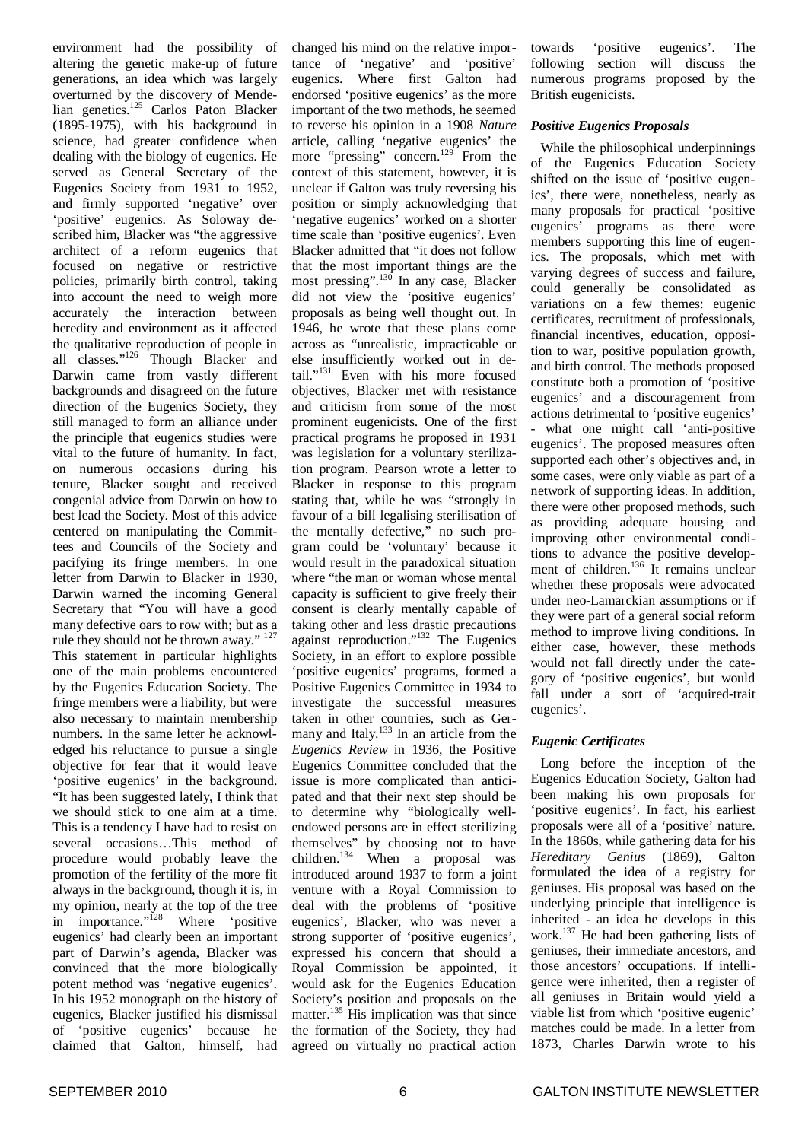environment had the possibility of altering the genetic make-up of future generations, an idea which was largely overturned by the discovery of Mendelian genetics.<sup>125</sup> Carlos Paton Blacker (1895-1975), with his background in science, had greater confidence when dealing with the biology of eugenics. He served as General Secretary of the Eugenics Society from 1931 to 1952, and firmly supported 'negative' over 'positive' eugenics. As Soloway described him, Blacker was "the aggressive architect of a reform eugenics that focused on negative or restrictive policies, primarily birth control, taking into account the need to weigh more accurately the interaction between heredity and environment as it affected the qualitative reproduction of people in all classes."<sup>126</sup> Though Blacker and Darwin came from vastly different backgrounds and disagreed on the future direction of the Eugenics Society, they still managed to form an alliance under the principle that eugenics studies were vital to the future of humanity. In fact, on numerous occasions during his tenure, Blacker sought and received congenial advice from Darwin on how to best lead the Society. Most of this advice centered on manipulating the Committees and Councils of the Society and pacifying its fringe members. In one letter from Darwin to Blacker in 1930, Darwin warned the incoming General Secretary that "You will have a good many defective oars to row with; but as a rule they should not be thrown away."<sup>127</sup> This statement in particular highlights one of the main problems encountered by the Eugenics Education Society. The fringe members were a liability, but were also necessary to maintain membership numbers. In the same letter he acknowledged his reluctance to pursue a single objective for fear that it would leave 'positive eugenics' in the background. "It has been suggested lately, I think that we should stick to one aim at a time. This is a tendency I have had to resist on several occasions…This method of procedure would probably leave the promotion of the fertility of the more fit always in the background, though it is, in my opinion, nearly at the top of the tree in importance."<sup>128</sup> Where 'positive eugenics' had clearly been an important part of Darwin's agenda, Blacker was convinced that the more biologically potent method was 'negative eugenics'. In his 1952 monograph on the history of eugenics, Blacker justified his dismissal of 'positive eugenics' because he claimed that Galton, himself, had

changed his mind on the relative importance of 'negative' and 'positive' eugenics. Where first Galton had endorsed 'positive eugenics' as the more important of the two methods, he seemed to reverse his opinion in a 1908 *Nature* article, calling 'negative eugenics' the more "pressing" concern.<sup>129</sup> From the context of this statement, however, it is unclear if Galton was truly reversing his position or simply acknowledging that 'negative eugenics' worked on a shorter time scale than 'positive eugenics'. Even Blacker admitted that "it does not follow that the most important things are the most pressing". 130 In any case, Blacker did not view the 'positive eugenics' proposals as being well thought out. In 1946, he wrote that these plans come across as "unrealistic, impracticable or else insufficiently worked out in detail." <sup>131</sup> Even with his more focused objectives, Blacker met with resistance and criticism from some of the most prominent eugenicists. One of the first practical programs he proposed in 1931 was legislation for a voluntary sterilization program. Pearson wrote a letter to Blacker in response to this program stating that, while he was "strongly in favour of a bill legalising sterilisation of the mentally defective," no such program could be 'voluntary' because it would result in the paradoxical situation where "the man or woman whose mental capacity is sufficient to give freely their consent is clearly mentally capable of taking other and less drastic precautions against reproduction." <sup>132</sup> The Eugenics Society, in an effort to explore possible 'positive eugenics' programs, formed a Positive Eugenics Committee in 1934 to investigate the successful measures taken in other countries, such as Germany and Italy.<sup>133</sup> In an article from the *Eugenics Review* in 1936, the Positive Eugenics Committee concluded that the issue is more complicated than anticipated and that their next step should be to determine why "biologically wellendowed persons are in effect sterilizing themselves" by choosing not to have children. <sup>134</sup> When a proposal was introduced around 1937 to form a joint venture with a Royal Commission to deal with the problems of 'positive eugenics', Blacker, who was never a strong supporter of 'positive eugenics', expressed his concern that should a Royal Commission be appointed, it would ask for the Eugenics Education Society's position and proposals on the matter.<sup>135</sup> His implication was that since the formation of the Society, they had agreed on virtually no practical action

towards 'positive eugenics'. The following section will discuss the numerous programs proposed by the British eugenicists.

#### *Positive Eugenics Proposals*

While the philosophical underpinnings of the Eugenics Education Society shifted on the issue of 'positive eugenics', there were, nonetheless, nearly as many proposals for practical 'positive eugenics' programs as there were members supporting this line of eugenics. The proposals, which met with varying degrees of success and failure, could generally be consolidated as variations on a few themes: eugenic certificates, recruitment of professionals, financial incentives, education, opposition to war, positive population growth, and birth control. The methods proposed constitute both a promotion of 'positive eugenics' and a discouragement from actions detrimental to 'positive eugenics' - what one might call 'anti-positive eugenics'. The proposed measures often supported each other's objectives and, in some cases, were only viable as part of a network of supporting ideas. In addition, there were other proposed methods, such as providing adequate housing and improving other environmental conditions to advance the positive development of children.<sup>136</sup> It remains unclear whether these proposals were advocated under neo-Lamarckian assumptions or if they were part of a general social reform method to improve living conditions. In either case, however, these methods would not fall directly under the category of 'positive eugenics', but would fall under a sort of 'acquired-trait eugenics'.

#### *Eugenic Certificates*

Long before the inception of the Eugenics Education Society, Galton had been making his own proposals for 'positive eugenics'. In fact, his earliest proposals were all of a 'positive' nature. In the 1860s, while gathering data for his *Hereditary Genius* (1869), Galton formulated the idea of a registry for geniuses. His proposal was based on the underlying principle that intelligence is inherited - an idea he develops in this work. <sup>137</sup> He had been gathering lists of geniuses, their immediate ancestors, and those ancestors' occupations. If intelligence were inherited, then a register of all geniuses in Britain would yield a viable list from which 'positive eugenic' matches could be made. In a letter from 1873, Charles Darwin wrote to his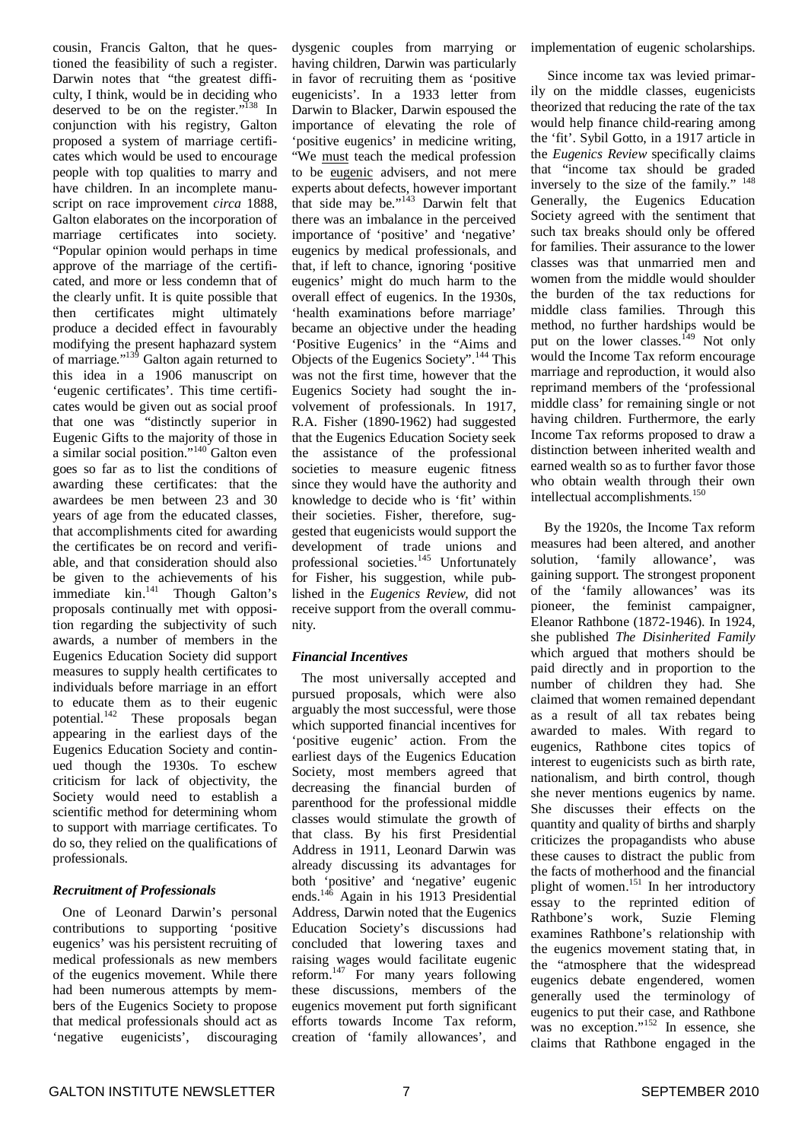cousin, Francis Galton, that he questioned the feasibility of such a register. Darwin notes that "the greatest difficulty, I think, would be in deciding who deserved to be on the register."<sup>138</sup> In conjunction with his registry, Galton proposed a system of marriage certificates which would be used to encourage people with top qualities to marry and have children. In an incomplete manuscript on race improvement *circa* 1888, Galton elaborates on the incorporation of marriage certificates into society. "Popular opinion would perhaps in time approve of the marriage of the certificated, and more or less condemn that of the clearly unfit. It is quite possible that then certificates might ultimately produce a decided effect in favourably modifying the present haphazard system of marriage."<sup>139</sup> Galton again returned to this idea in a 1906 manuscript on 'eugenic certificates'. This time certificates would be given out as social proof that one was "distinctly superior in Eugenic Gifts to the majority of those in a similar social position."<sup>140</sup> Galton even goes so far as to list the conditions of awarding these certificates: that the awardees be men between 23 and 30 years of age from the educated classes, that accomplishments cited for awarding the certificates be on record and verifiable, and that consideration should also be given to the achievements of his immediate kin.<sup>141</sup> Though Galton's proposals continually met with opposition regarding the subjectivity of such awards, a number of members in the Eugenics Education Society did support measures to supply health certificates to individuals before marriage in an effort to educate them as to their eugenic potential.<sup>142</sup> These proposals began appearing in the earliest days of the Eugenics Education Society and continued though the 1930s. To eschew criticism for lack of objectivity, the Society would need to establish a scientific method for determining whom to support with marriage certificates. To do so, they relied on the qualifications of professionals.

#### *Recruitment of Professionals*

One of Leonard Darwin's personal contributions to supporting 'positive eugenics' was his persistent recruiting of medical professionals as new members of the eugenics movement. While there had been numerous attempts by members of the Eugenics Society to propose that medical professionals should act as 'negative eugenicists', discouraging dysgenic couples from marrying or having children, Darwin was particularly in favor of recruiting them as 'positive eugenicists'. In a 1933 letter from Darwin to Blacker, Darwin espoused the importance of elevating the role of 'positive eugenics' in medicine writing, "We must teach the medical profession to be eugenic advisers, and not mere experts about defects, however important that side may be."<sup>143</sup> Darwin felt that there was an imbalance in the perceived importance of 'positive' and 'negative' eugenics by medical professionals, and that, if left to chance, ignoring 'positive eugenics' might do much harm to the overall effect of eugenics. In the 1930s, 'health examinations before marriage' became an objective under the heading 'Positive Eugenics' in the "Aims and Objects of the Eugenics Society".<sup>144</sup> This was not the first time, however that the Eugenics Society had sought the involvement of professionals. In 1917, R.A. Fisher (1890-1962) had suggested that the Eugenics Education Society seek the assistance of the professional societies to measure eugenic fitness since they would have the authority and knowledge to decide who is 'fit' within their societies. Fisher, therefore, suggested that eugenicists would support the development of trade unions and professional societies.<sup>145</sup> Unfortunately for Fisher, his suggestion, while published in the *Eugenics Review,* did not receive support from the overall community.

#### *Financial Incentives*

The most universally accepted and pursued proposals, which were also arguably the most successful, were those which supported financial incentives for 'positive eugenic' action. From the earliest days of the Eugenics Education Society, most members agreed that decreasing the financial burden of parenthood for the professional middle classes would stimulate the growth of that class. By his first Presidential Address in 1911, Leonard Darwin was already discussing its advantages for both 'positive' and 'negative' eugenic ends. <sup>146</sup> Again in his 1913 Presidential Address, Darwin noted that the Eugenics Education Society's discussions had concluded that lowering taxes and raising wages would facilitate eugenic reform.<sup>147</sup> For many years following these discussions, members of the eugenics movement put forth significant efforts towards Income Tax reform, creation of 'family allowances', and

implementation of eugenic scholarships.

Since income tax was levied primarily on the middle classes, eugenicists theorized that reducing the rate of the tax would help finance child-rearing among the 'fit'. Sybil Gotto, in a 1917 article in the *Eugenics Review* specifically claims that "income tax should be graded inversely to the size of the family." 148 Generally, the Eugenics Education Society agreed with the sentiment that such tax breaks should only be offered for families. Their assurance to the lower classes was that unmarried men and women from the middle would shoulder the burden of the tax reductions for middle class families. Through this method, no further hardships would be put on the lower classes.<sup>149</sup> Not only would the Income Tax reform encourage marriage and reproduction, it would also reprimand members of the 'professional middle class' for remaining single or not having children. Furthermore, the early Income Tax reforms proposed to draw a distinction between inherited wealth and earned wealth so as to further favor those who obtain wealth through their own intellectual accomplishments. 150

By the 1920s, the Income Tax reform measures had been altered, and another solution, 'family allowance', was gaining support. The strongest proponent of the 'family allowances' was its pioneer, the feminist campaigner, Eleanor Rathbone (1872-1946). In 1924, she published *The Disinherited Family* which argued that mothers should be paid directly and in proportion to the number of children they had. She claimed that women remained dependant as a result of all tax rebates being awarded to males. With regard to eugenics, Rathbone cites topics of interest to eugenicists such as birth rate, nationalism, and birth control, though she never mentions eugenics by name. She discusses their effects on the quantity and quality of births and sharply criticizes the propagandists who abuse these causes to distract the public from the facts of motherhood and the financial plight of women. 151 In her introductory essay to the reprinted edition of Rathbone's work, Suzie Fleming examines Rathbone's relationship with the eugenics movement stating that, in the "atmosphere that the widespread eugenics debate engendered, women generally used the terminology of eugenics to put their case, and Rathbone was no exception." 152 In essence, she claims that Rathbone engaged in the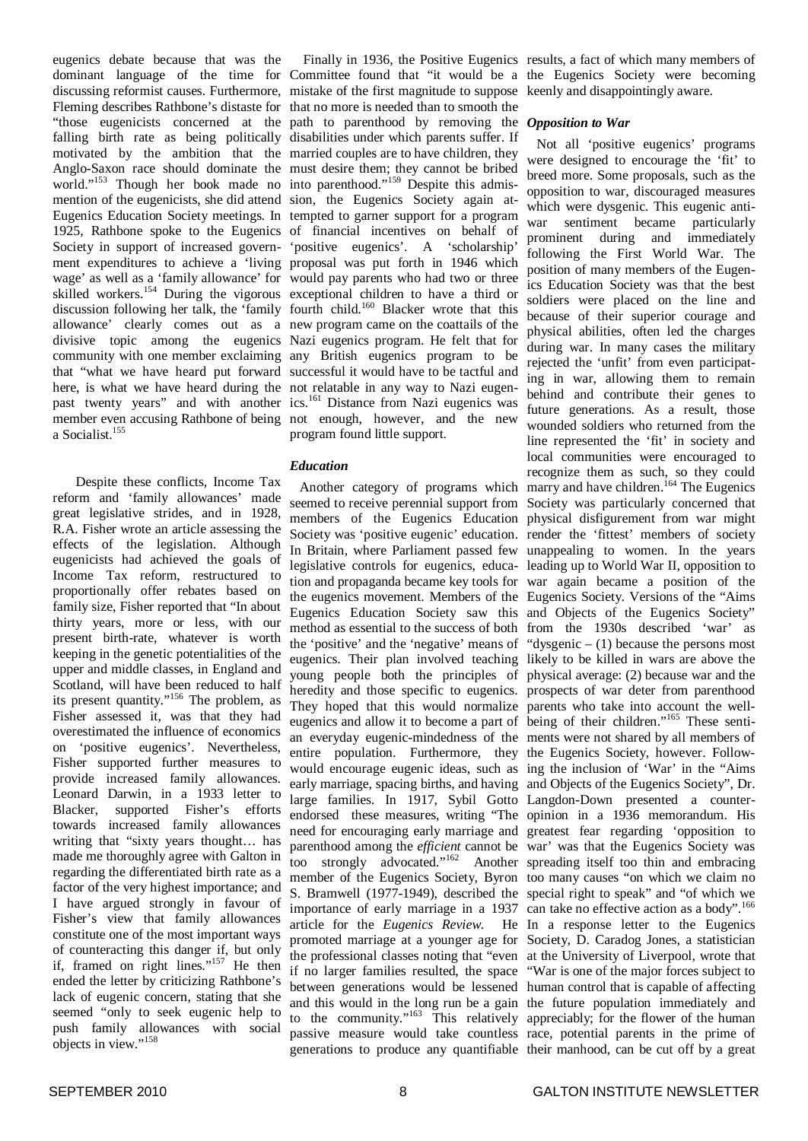eugenics debate because that was the dominant language of the time for Committee found that "it would be a the Eugenics Society were becoming discussing reformist causes. Furthermore, mistake of the first magnitude to suppose keenly and disappointingly aware. Fleming describes Rathbone's distaste for that no more is needed than to smooth the "those eugenicists concerned at the path to parenthood by removing the *Opposition to War* falling birth rate as being politically disabilities under which parents suffer. If motivated by the ambition that the married couples are to have children, they Anglo-Saxon race should dominate the must desire them; they cannot be bribed world."<sup>153</sup> Though her book made no into parenthood."<sup>159</sup> Despite this admismention of the eugenicists, she did attend sion, the Eugenics Society again at-Eugenics Education Society meetings. In tempted to garner support for a program 1925, Rathbone spoke to the Eugenics of financial incentives on behalf of Society in support of increased govern-'positive eugenics'. A 'scholarship' ment expenditures to achieve a 'living proposal was put forth in 1946 which wage' as well as a 'family allowance' for would pay parents who had two or three skilled workers.<sup>154</sup> During the vigorous exceptional children to have a third or discussion following her talk, the 'family fourth child. <sup>160</sup> Blacker wrote that this allowance' clearly comes out as a new program came on the coattails of the divisive topic among the eugenics Nazi eugenics program. He felt that for community with one member exclaiming any British eugenics program to be that "what we have heard put forward successful it would have to be tactful and here, is what we have heard during the not relatable in any way to Nazi eugenpast twenty years" and with another member even accusing Rathbone of being a Socialist. 155

Despite these conflicts, Income Tax reform and 'family allowances' made great legislative strides, and in 1928, R.A. Fisher wrote an article assessing the effects of the legislation. Although eugenicists had achieved the goals of Income Tax reform, restructured to proportionally offer rebates based on family size, Fisher reported that "In about thirty years, more or less, with our present birth-rate, whatever is worth keeping in the genetic potentialities of the upper and middle classes, in England and Scotland, will have been reduced to half its present quantity."<sup>156</sup> The problem, as Fisher assessed it, was that they had overestimated the influence of economics on 'positive eugenics'. Nevertheless, Fisher supported further measures to provide increased family allowances. Leonard Darwin, in a 1933 letter to Blacker, supported Fisher's efforts towards increased family allowances writing that "sixty years thought… has made me thoroughly agree with Galton in regarding the differentiated birth rate as a factor of the very highest importance; and I have argued strongly in favour of Fisher's view that family allowances constitute one of the most important ways of counteracting this danger if, but only if, framed on right lines."<sup>157</sup> He then ended the letter by criticizing Rathbone's lack of eugenic concern, stating that she seemed "only to seek eugenic help to push family allowances with social objects in view." 158

ics. <sup>161</sup> Distance from Nazi eugenics was not enough, however, and the new program found little support.

#### *Education*

Another category of programs which seemed to receive perennial support from Society was particularly concerned that members of the Eugenics Education physical disfigurement from war might Society was 'positive eugenic' education. render the 'fittest' members of society In Britain, where Parliament passed few unappealing to women. In the years legislative controls for eugenics, educa-leading up to World War II, opposition to tion and propaganda became key tools for war again became a position of the the eugenics movement. Members of the Eugenics Society. Versions of the "Aims Eugenics Education Society saw this and Objects of the Eugenics Society" method as essential to the success of both from the 1930s described 'war' as the 'positive' and the 'negative' means of "dysgenic  $- (1)$  because the persons most eugenics. Their plan involved teaching likely to be killed in wars are above the young people both the principles of physical average: (2) because war and the heredity and those specific to eugenics. prospects of war deter from parenthood They hoped that this would normalize parents who take into account the welleugenics and allow it to become a part of being of their children."<sup>165</sup> These sentian everyday eugenic-mindedness of the ments were not shared by all members of entire population. Furthermore, they the Eugenics Society, however. Followwould encourage eugenic ideas, such as ing the inclusion of 'War' in the "Aims early marriage, spacing births, and having and Objects of the Eugenics Society", Dr. large families. In 1917, Sybil Gotto Langdon-Down presented a counterendorsed these measures, writing "The opinion in a 1936 memorandum. His need for encouraging early marriage and greatest fear regarding 'opposition to parenthood among the *efficient* cannot be war' was that the Eugenics Society was too strongly advocated." <sup>162</sup> Another spreading itself too thin and embracing member of the Eugenics Society, Byron too many causes "on which we claim no S. Bramwell (1977-1949), described the special right to speak" and "of which we importance of early marriage in a 1937 can take no effective action as a body".<sup>166</sup> article for the *Eugenics Review*. He In a response letter to the Eugenics promoted marriage at a younger age for Society, D. Caradog Jones, a statistician the professional classes noting that "even at the University of Liverpool, wrote that if no larger families resulted, the space "War is one of the major forces subject to between generations would be lessened human control that is capable of affecting and this would in the long run be a gain the future population immediately and to the community."<sup>163</sup> This relatively appreciably; for the flower of the human passive measure would take countless race, potential parents in the prime of generations to produce any quantifiable their manhood, can be cut off by a great

Finally in 1936, the Positive Eugenics results, a fact of which many members of

Not all 'positive eugenics' programs were designed to encourage the 'fit' to breed more. Some proposals, such as the opposition to war, discouraged measures which were dysgenic. This eugenic antiwar sentiment became particularly prominent during and immediately following the First World War. The position of many members of the Eugenics Education Society was that the best soldiers were placed on the line and because of their superior courage and physical abilities, often led the charges during war. In many cases the military rejected the 'unfit' from even participating in war, allowing them to remain behind and contribute their genes to future generations. As a result, those wounded soldiers who returned from the line represented the 'fit' in society and local communities were encouraged to recognize them as such, so they could marry and have children.<sup>164</sup> The Eugenics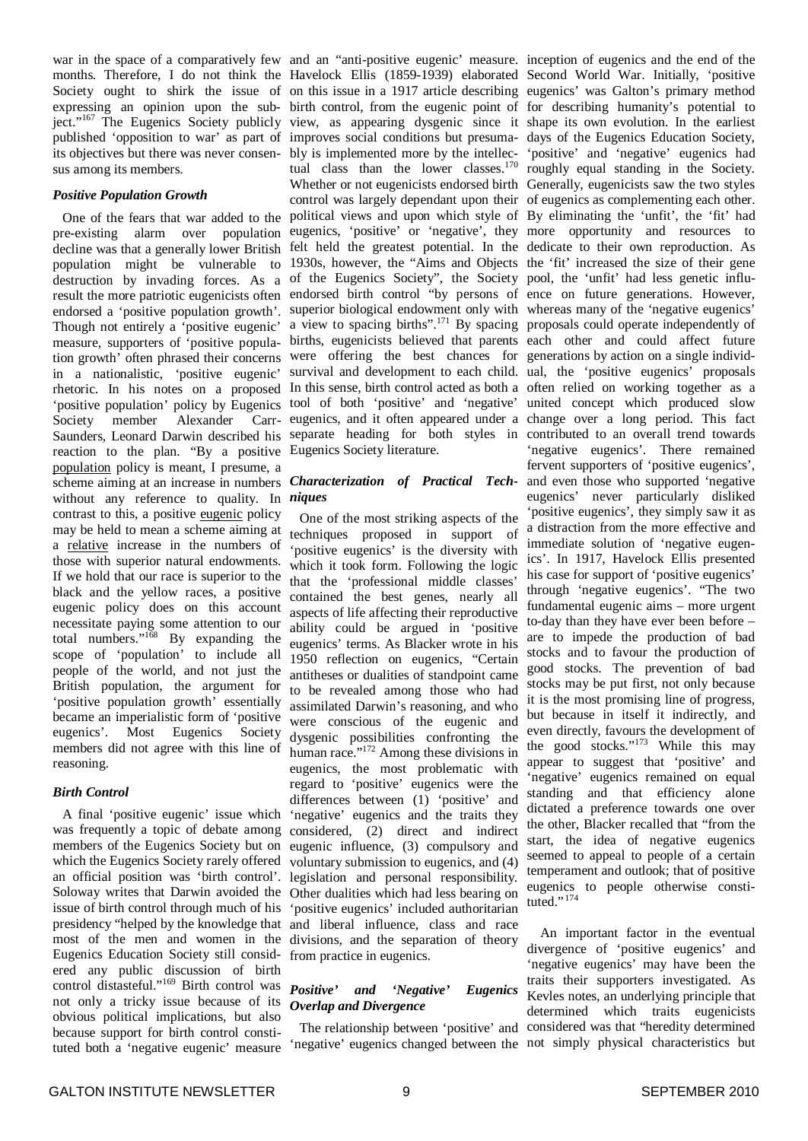its objectives but there was never consensus among its members.

#### *Positive Population Growth*

One of the fears that war added to the pre-existing alarm over population decline was that a generally lower British population might be vulnerable to 1930s, however, the "Aims and Objects the 'fit' increased the size of their gene destruction by invading forces. As a result the more patriotic eugenicists often endorsed a 'positive population growth'. Though not entirely a 'positive eugenic' measure, supporters of 'positive population growth' often phrased their concerns in a nationalistic, 'positive eugenic' rhetoric. In his notes on a proposed 'positive population' policy by Eugenics Society member Alexander Carr-Saunders, Leonard Darwin described his reaction to the plan. "By a positive Eugenics Society literature. population policy is meant, I presume, a scheme aiming at an increase in numbers without any reference to quality. In contrast to this, a positive eugenic policy may be held to mean a scheme aiming at a relative increase in the numbers of those with superior natural endowments. If we hold that our race is superior to the black and the yellow races, a positive eugenic policy does on this account necessitate paying some attention to our total numbers." <sup>168</sup> By expanding the scope of 'population' to include all people of the world, and not just the British population, the argument for 'positive population growth' essentially became an imperialistic form of 'positive eugenics'. Most Eugenics Society members did not agree with this line of reasoning.

#### *Birth Control*

A final 'positive eugenic' issue which was frequently a topic of debate among members of the Eugenics Society but on which the Eugenics Society rarely offered an official position was 'birth control'. Soloway writes that Darwin avoided the issue of birth control through much of his presidency "helped by the knowledge that most of the men and women in the Eugenics Education Society still considered any public discussion of birth control distasteful." <sup>169</sup> Birth control was not only a tricky issue because of its obvious political implications, but also because support for birth control constituted both a 'negative eugenic' measure

war in the space of a comparatively few and an "anti-positive eugenic' measure. inception of eugenics and the end of the months. Therefore, I do not think the Havelock Ellis (1859-1939) elaborated Second World War. Initially, 'positive Society ought to shirk the issue of on this issue in a 1917 article describing eugenics' was Galton's primary method expressing an opinion upon the sub-birth control, from the eugenic point of for describing humanity's potential to ject."<sup>167</sup> The Eugenics Society publicly view, as appearing dysgenic since it shape its own evolution. In the earliest published 'opposition to war' as part of improves social conditions but presuma-days of the Eugenics Education Society, bly is implemented more by the intellecbly is implemented more by the intellec- 'positive' and 'negative' eugenics had tual class than the lower classes.<sup>170</sup> roughly equal standing in the Society. Whether or not eugenicists endorsed birth Generally, eugenicists saw the two styles control was largely dependant upon their of eugenics as complementing each other. political views and upon which style of By eliminating the 'unfit', the 'fit' had eugenics, 'positive' or 'negative', they more opportunity and resources to felt held the greatest potential. In the dedicate to their own reproduction. As of the Eugenics Society", the Society pool, the 'unfit' had less genetic influendorsed birth control "by persons of ence on future generations. However, superior biological endowment only with whereas many of the 'negative eugenics' a view to spacing births".<sup>171</sup> By spacing proposals could operate independently of births, eugenicists believed that parents each other and could affect future were offering the best chances for generations by action on a single individsurvival and development to each child. ual, the 'positive eugenics' proposals In this sense, birth control acted as both a often relied on working together as a tool of both 'positive' and 'negative' united concept which produced slow eugenics, and it often appeared under a change over a long period. This fact separate heading for both styles in contributed to an overall trend towards

#### *Characterization of Practical Techniques*

One of the most striking aspects of the techniques proposed in support of 'positive eugenics' is the diversity with which it took form. Following the logic that the 'professional middle classes' contained the best genes, nearly all aspects of life affecting their reproductive ability could be argued in 'positive eugenics' terms. As Blacker wrote in his 1950 reflection on eugenics, "Certain antitheses or dualities of standpoint came to be revealed among those who had assimilated Darwin's reasoning, and who were conscious of the eugenic and dysgenic possibilities confronting the human race."<sup>172</sup> Among these divisions in eugenics, the most problematic with regard to 'positive' eugenics were the differences between (1) 'positive' and 'negative' eugenics and the traits they considered, (2) direct and indirect eugenic influence, (3) compulsory and voluntary submission to eugenics, and (4) legislation and personal responsibility. Other dualities which had less bearing on 'positive eugenics' included authoritarian and liberal influence, class and race divisions, and the separation of theory from practice in eugenics.

#### *Positive' and 'Negative' Eugenics Overlap and Divergence*

'negative' eugenics changed between the not simply physical characteristics but

roughly equal standing in the Society. 'negative eugenics'. There remained fervent supporters of 'positive eugenics', and even those who supported 'negative eugenics' never particularly disliked 'positive eugenics', they simply saw it as a distraction from the more effective and immediate solution of 'negative eugenics'. In 1917, Havelock Ellis presented his case for support of 'positive eugenics' through 'negative eugenics'. "The two fundamental eugenic aims – more urgent to-day than they have ever been before – are to impede the production of bad stocks and to favour the production of good stocks. The prevention of bad stocks may be put first, not only because it is the most promising line of progress, but because in itself it indirectly, and even directly, favours the development of the good stocks." <sup>173</sup> While this may appear to suggest that 'positive' and 'negative' eugenics remained on equal standing and that efficiency alone dictated a preference towards one over the other, Blacker recalled that "from the start, the idea of negative eugenics seemed to appeal to people of a certain temperament and outlook; that of positive eugenics to people otherwise constituted."<sup>174</sup>

The relationship between 'positive' and considered was that "heredity determined An important factor in the eventual divergence of 'positive eugenics' and 'negative eugenics' may have been the traits their supporters investigated. As Kevles notes, an underlying principle that determined which traits eugenicists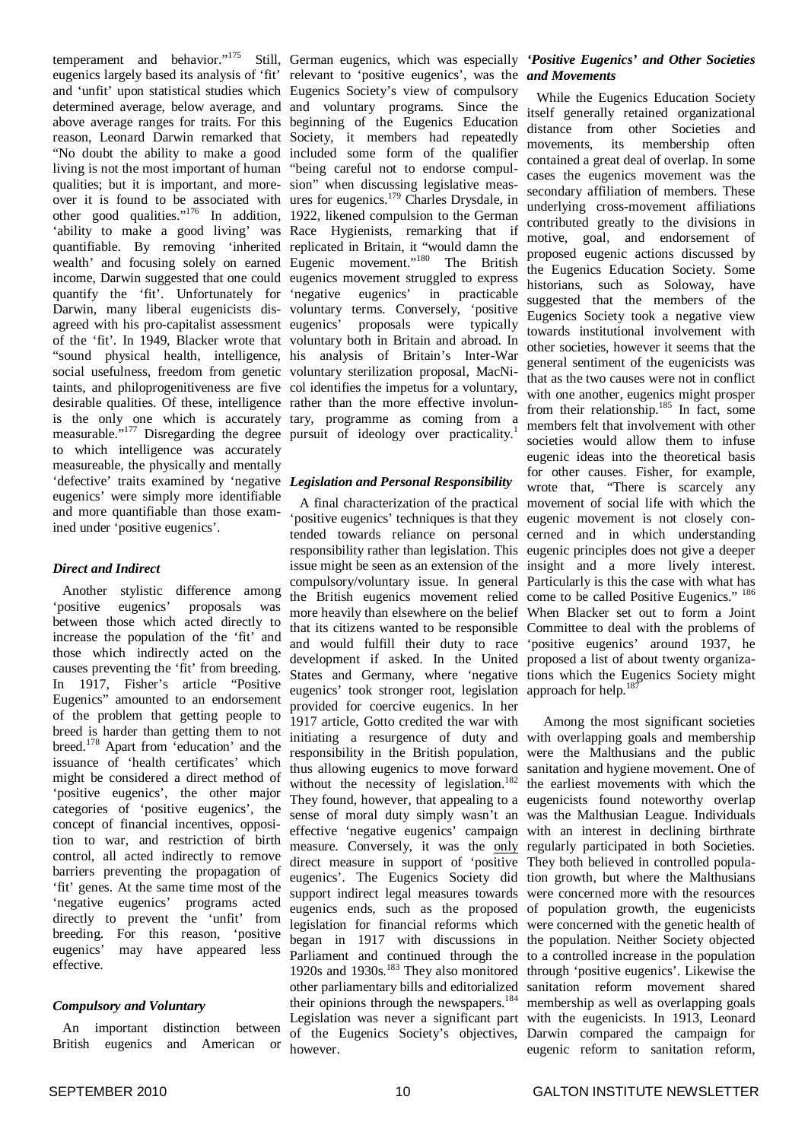temperament and behavior." 175 Still, German eugenics, which was especially *'Positive Eugenics' and Other Societies* eugenics largely based its analysis of 'fit' relevant to 'positive eugenics', was the and 'unfit' upon statistical studies which Eugenics Society's view of compulsory determined average, below average, and and voluntary programs. Since the above average ranges for traits. For this beginning of the Eugenics Education reason, Leonard Darwin remarked that Society, it members had repeatedly "No doubt the ability to make a good included some form of the qualifier living is not the most important of human "being careful not to endorse compulqualities; but it is important, and more-sion" when discussing legislative measover it is found to be associated with ures for eugenics.<sup>179</sup> Charles Drysdale, in other good qualities."<sup>176</sup> In addition, 1922, likened compulsion to the German 'ability to make a good living' was Race Hygienists, remarking that if quantifiable. By removing 'inherited replicated in Britain, it "would damn the wealth' and focusing solely on earned Eugenic movement."<sup>180</sup> The British income, Darwin suggested that one could eugenics movement struggled to express quantify the 'fit'. Unfortunately for 'negative eugenics' in practicable Darwin, many liberal eugenicists dis-voluntary terms. Conversely, 'positive agreed with his pro-capitalist assessment eugenics' of the 'fit'. In 1949, Blacker wrote that voluntary both in Britain and abroad. In "sound physical health, intelligence, his analysis of Britain's Inter-War social usefulness, freedom from genetic voluntary sterilization proposal, MacNitaints, and philoprogenitiveness are five col identifies the impetus for a voluntary, desirable qualities. Of these, intelligence rather than the more effective involunis the only one which is accurately tary, programme as coming from a measurable."<sup>177</sup> Disregarding the degree pursuit of ideology over practicality.<sup>1</sup> to which intelligence was accurately measureable, the physically and mentally 'defective' traits examined by 'negative *Legislation and Personal Responsibility* eugenics' were simply more identifiable and more quantifiable than those examined under 'positive eugenics'.

#### *Direct and Indirect*

Another stylistic difference among 'positive eugenics' proposals was between those which acted directly to increase the population of the 'fit' and those which indirectly acted on the causes preventing the 'fit' from breeding. In 1917, Fisher's article "Positive Eugenics" amounted to an endorsement of the problem that getting people to breed is harder than getting them to not breed.<sup>178</sup> Apart from 'education' and the issuance of 'health certificates' which might be considered a direct method of 'positive eugenics', the other major categories of 'positive eugenics', the concept of financial incentives, opposition to war, and restriction of birth control, all acted indirectly to remove barriers preventing the propagation of 'fit' genes. At the same time most of the 'negative eugenics' programs acted directly to prevent the 'unfit' from breeding. For this reason, 'positive eugenics' may have appeared less effective.

#### *Compulsory and Voluntary*

An important distinction between British eugenics and American or proposals were typically

'positive eugenics' techniques is that they eugenic movement is not closely contended towards reliance on personal cerned and in which understanding responsibility rather than legislation. This eugenic principles does not give a deeper issue might be seen as an extension of the insight and a more lively interest. compulsory/voluntary issue. In general Particularly is this the case with what has the British eugenics movement relied come to be called Positive Eugenics."<sup>186</sup> more heavily than elsewhere on the belief When Blacker set out to form a Joint that its citizens wanted to be responsible Committee to deal with the problems of and would fulfill their duty to race 'positive eugenics' around 1937, he development if asked. In the United proposed a list of about twenty organiza-States and Germany, where 'negative tions which the Eugenics Society might eugenics' took stronger root, legislation approach for help.<sup>187</sup> provided for coercive eugenics. In her 1917 article, Gotto credited the war with initiating a resurgence of duty and with overlapping goals and membership responsibility in the British population, were the Malthusians and the public thus allowing eugenics to move forward without the necessity of legislation.<sup>182</sup> They found, however, that appealing to a eugenicists found noteworthy overlap sense of moral duty simply wasn't an was the Malthusian League. Individuals effective 'negative eugenics' campaign with an interest in declining birthrate measure. Conversely, it was the only regularly participated in both Societies. direct measure in support of 'positive They both believed in controlled populaeugenics'. The Eugenics Society did tion growth, but where the Malthusians support indirect legal measures towards were concerned more with the resources eugenics ends, such as the proposed of population growth, the eugenicists legislation for financial reforms which were concerned with the genetic health of began in 1917 with discussions in the population. Neither Society objected Parliament and continued through the to a controlled increase in the population 1920s and 1930s. <sup>183</sup> They also monitored through 'positive eugenics'. Likewise the other parliamentary bills and editorialized sanitation reform movement shared their opinions through the newspapers.<sup>184</sup> membership as well as overlapping goals Legislation was never a significant part with the eugenicists. In 1913, Leonard of the Eugenics Society's objectives, Darwin compared the campaign for however.

# *and Movements*

A final characterization of the practical movement of social life with which the While the Eugenics Education Society itself generally retained organizational distance from other Societies and movements, its membership often contained a great deal of overlap. In some cases the eugenics movement was the secondary affiliation of members. These underlying cross-movement affiliations contributed greatly to the divisions in motive, goal, and endorsement of proposed eugenic actions discussed by the Eugenics Education Society. Some historians, such as Soloway, have suggested that the members of the Eugenics Society took a negative view towards institutional involvement with other societies, however it seems that the general sentiment of the eugenicists was that as the two causes were not in conflict with one another, eugenics might prosper from their relationship.<sup>185</sup> In fact, some members felt that involvement with other societies would allow them to infuse eugenic ideas into the theoretical basis for other causes. Fisher, for example, wrote that, "There is scarcely any

> Among the most significant societies sanitation and hygiene movement. One of the earliest movements with which the eugenic reform to sanitation reform,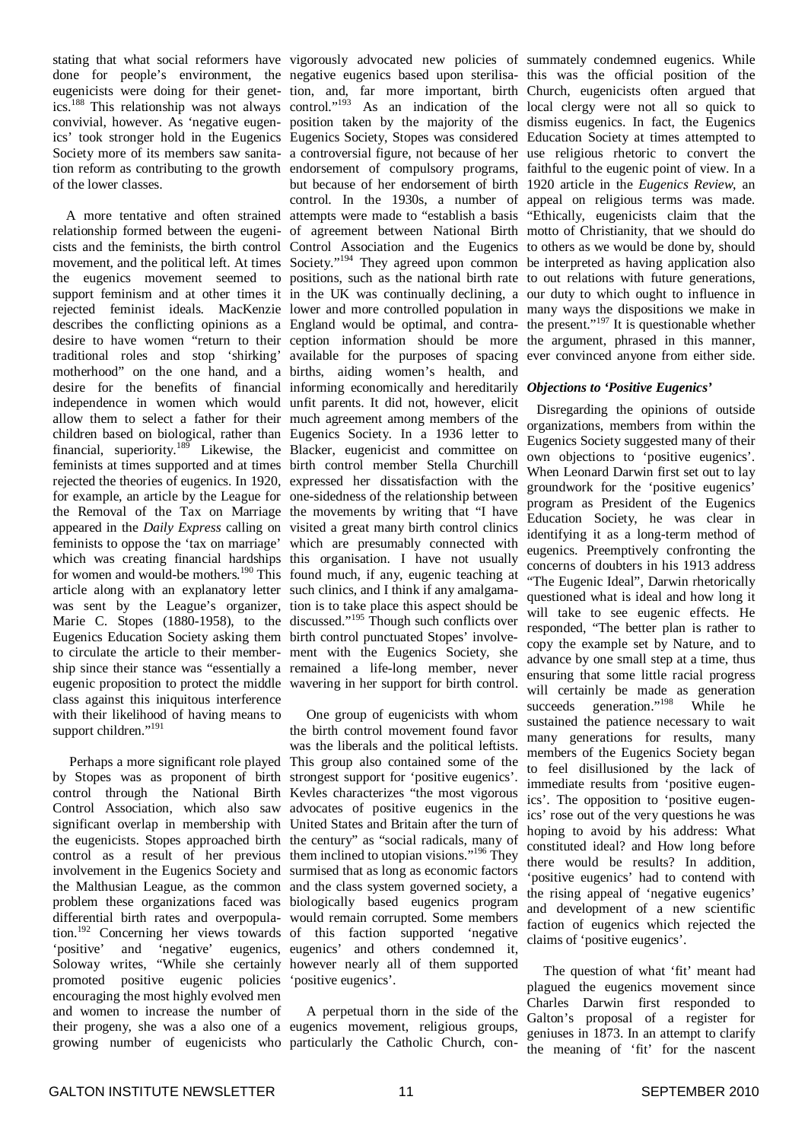stating that what social reformers have vigorously advocated new policies of summately condemned eugenics. While eugenicists were doing for their genetics. <sup>188</sup> This relationship was not always of the lower classes.

relationship formed between the eugeni-of agreement between National Birth motto of Christianity, that we should do cists and the feminists, the birth control Control Association and the Eugenics to others as we would be done by, should movement, and the political left. At times Society."<sup>194</sup> They agreed upon common be interpreted as having application also the eugenics movement seemed to positions, such as the national birth rate to out relations with future generations, support feminism and at other times it in the UK was continually declining, a our duty to which ought to influence in rejected feminist ideals. MacKenzie lower and more controlled population in many ways the dispositions we make in describes the conflicting opinions as a England would be optimal, and contra- the present."<sup>197</sup> It is questionable whether desire to have women "return to their ception information should be more the argument, phrased in this manner, traditional roles and stop 'shirking' motherhood" on the one hand, and a desire for the benefits of financial informing economically and hereditarily *Objections to 'Positive Eugenics'* independence in women which would unfit parents. It did not, however, elicit allow them to select a father for their much agreement among members of the children based on biological, rather than Eugenics Society. In a 1936 letter to financial, superiority.<sup>189</sup> Likewise, the Blacker, eugenicist and committee on feminists at times supported and at times birth control member Stella Churchill rejected the theories of eugenics. In 1920, expressed her dissatisfaction with the for example, an article by the League for one-sidedness of the relationship between the Removal of the Tax on Marriage the movements by writing that "I have appeared in the *Daily Express* calling on visited a great many birth control clinics feminists to oppose the 'tax on marriage' which are presumably connected with which was creating financial hardships this organisation. I have not usually for women and would-be mothers.<sup>190</sup> This found much, if any, eugenic teaching at article along with an explanatory letter such clinics, and I think if any amalgamawas sent by the League's organizer, tion is to take place this aspect should be Marie C. Stopes (1880-1958), to the discussed."<sup>195</sup> Though such conflicts over Eugenics Education Society asking them birth control punctuated Stopes' involveto circulate the article to their member-ment with the Eugenics Society, she ship since their stance was "essentially a remained a life-long member, never eugenic proposition to protect the middle wavering in her support for birth control. class against this iniquitous interference with their likelihood of having means to support children."<sup>191</sup>

by Stopes was as proponent of birth strongest support for 'positive eugenics'. control through the National Birth Kevles characterizes "the most vigorous Control Association, which also saw advocates of positive eugenics in the significant overlap in membership with United States and Britain after the turn of the eugenicists. Stopes approached birth the century" as "social radicals, many of control as a result of her previous them inclined to utopian visions."<sup>196</sup> They involvement in the Eugenics Society and surmised that as long as economic factors the Malthusian League, as the common and the class system governed society, a problem these organizations faced was biologically based eugenics program differential birth rates and overpopula-would remain corrupted. Some members tion. <sup>192</sup> Concerning her views towards of this faction supported 'negative 'positive' and 'negative' eugenics, eugenics' and others condemned it, Soloway writes, "While she certainly however nearly all of them supported promoted positive eugenic policies 'positive eugenics'. encouraging the most highly evolved men and women to increase the number of their progeny, she was a also one of a eugenics movement, religious groups,

done for people's environment, the negative eugenics based upon sterilisa-this was the official position of the convivial, however. As 'negative eugen-position taken by the majority of the dismiss eugenics. In fact, the Eugenics ics' took stronger hold in the Eugenics Eugenics Society, Stopes was considered Education Society at times attempted to Society more of its members saw sanita-a controversial figure, not because of her use religious rhetoric to convert the tion reform as contributing to the growth endorsement of compulsory programs, faithful to the eugenic point of view. In a A more tentative and often strained attempts were made to "establish a basis "Ethically, eugenicists claim that the tion, and, far more important, birth control." <sup>193</sup> As an indication of the but because of her endorsement of birth 1920 article in the *Eugenics Review*, an control. In the 1930s, a number of appeal on religious terms was made. available for the purposes of spacing births, aiding women's health, and

Perhaps a more significant role played This group also contained some of the One group of eugenicists with whom the birth control movement found favor was the liberals and the political leftists.

growing number of eugenicists who particularly the Catholic Church, con-A perpetual thorn in the side of the

Church, eugenicists often argued that local clergy were not all so quick to ever convinced anyone from either side.

Disregarding the opinions of outside organizations, members from within the Eugenics Society suggested many of their own objections to 'positive eugenics'. When Leonard Darwin first set out to lay groundwork for the 'positive eugenics' program as President of the Eugenics Education Society, he was clear in identifying it as a long-term method of eugenics. Preemptively confronting the concerns of doubters in his 1913 address "The Eugenic Ideal", Darwin rhetorically questioned what is ideal and how long it will take to see eugenic effects. He responded, "The better plan is rather to copy the example set by Nature, and to advance by one small step at a time, thus ensuring that some little racial progress will certainly be made as generation succeeds generation."<sup>198</sup> While he sustained the patience necessary to wait many generations for results, many members of the Eugenics Society began to feel disillusioned by the lack of immediate results from 'positive eugenics'. The opposition to 'positive eugenics' rose out of the very questions he was hoping to avoid by his address: What constituted ideal? and How long before there would be results? In addition, 'positive eugenics' had to contend with the rising appeal of 'negative eugenics' and development of a new scientific faction of eugenics which rejected the claims of 'positive eugenics'.

The question of what 'fit' meant had plagued the eugenics movement since Charles Darwin first responded to Galton's proposal of a register for geniuses in 1873. In an attempt to clarify the meaning of 'fit' for the nascent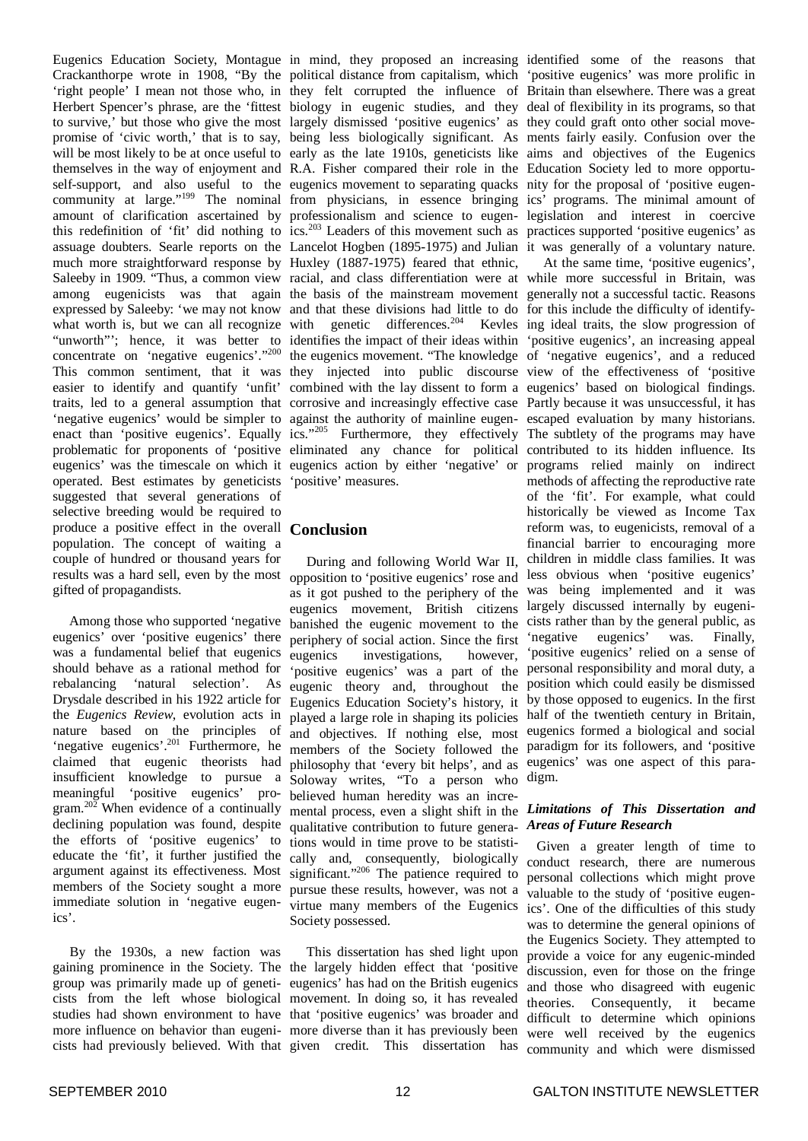Eugenics Education Society, Montague in mind, they proposed an increasing identified some of the reasons that Crackanthorpe wrote in 1908, "By the 'right people' I mean not those who, in Herbert Spencer's phrase, are the 'fittest biology in eugenic studies, and they deal of flexibility in its programs, so that to survive,' but those who give the most largely dismissed 'positive eugenics' as they could graft onto other social movepromise of 'civic worth,' that is to say, being less biologically significant. As ments fairly easily. Confusion over the will be most likely to be at once useful to early as the late 1910s, geneticists like aims and objectives of the Eugenics themselves in the way of enjoyment and R.A. Fisher compared their role in the Education Society led to more opportuself-support, and also useful to the eugenics movement to separating quacks nity for the proposal of 'positive eugencommunity at large."<sup>199</sup> The nominal from physicians, in essence bringing ics' programs. The minimal amount of amount of clarification ascertained by professionalism and science to eugen-legislation and interest in coercive this redefinition of 'fit' did nothing to ics.<sup>203</sup> Leaders of this movement such as practices supported 'positive eugenics' as assuage doubters. Searle reports on the Lancelot Hogben (1895-1975) and Julian it was generally of a voluntary nature. much more straightforward response by Huxley (1887-1975) feared that ethnic, Saleeby in 1909. "Thus, a common view racial, and class differentiation were at while more successful in Britain, was among eugenicists was that again the basis of the mainstream movement generally not a successful tactic. Reasons expressed by Saleeby: 'we may not know and that these divisions had little to do for this include the difficulty of identifywhat worth is, but we can all recognize with genetic differences.<sup>204</sup> Kevles ing ideal traits, the slow progression of "unworth"'; hence, it was better to identifies the impact of their ideas within 'positive eugenics', an increasing appeal concentrate on 'negative eugenics'."<sup>200</sup> the eugenics movement. "The knowledge of 'negative eugenics', and a reduced This common sentiment, that it was they injected into public discourse view of the effectiveness of 'positive easier to identify and quantify 'unfit' combined with the lay dissent to form a eugenics' based on biological findings. traits, led to a general assumption that corrosive and increasingly effective case Partly because it was unsuccessful, it has 'negative eugenics' would be simpler to against the authority of mainline eugen-escaped evaluation by many historians. enact than 'positive eugenics'. Equally ics."<sup>205</sup> Furthermore, they effectively The subtlety of the programs may have problematic for proponents of 'positive eliminated any chance for political contributed to its hidden influence. Its eugenics' was the timescale on which it eugenics action by either 'negative' or programs relied mainly on indirect operated. Best estimates by geneticists 'positive' measures. suggested that several generations of selective breeding would be required to produce a positive effect in the overall **Conclusion** population. The concept of waiting a couple of hundred or thousand years for results was a hard sell, even by the most gifted of propagandists.

Among those who supported 'negative eugenics' over 'positive eugenics' there was a fundamental belief that eugenics should behave as a rational method for rebalancing 'natural selection'. As Drysdale described in his 1922 article for the *Eugenics Review*, evolution acts in nature based on the principles of 'negative eugenics'.<sup>201</sup> Furthermore, he claimed that eugenic theorists had insufficient knowledge to pursue a meaningful 'positive eugenics' program.<sup>202</sup> When evidence of a continually declining population was found, despite the efforts of 'positive eugenics' to educate the 'fit', it further justified the argument against its effectiveness. Most members of the Society sought a more immediate solution in 'negative eugenics'.

By the 1930s, a new faction was gaining prominence in the Society. The the largely hidden effect that 'positive group was primarily made up of geneti-eugenics' has had on the British eugenics cists from the left whose biological movement. In doing so, it has revealed studies had shown environment to have that 'positive eugenics' was broader and more influence on behavior than eugeni-more diverse than it has previously been

political distance from capitalism, which they felt corrupted the influence of

During and following World War II, opposition to 'positive eugenics' rose and as it got pushed to the periphery of the eugenics movement, British citizens banished the eugenic movement to the periphery of social action. Since the first eugenics investigations, however, 'positive eugenics' was a part of the eugenic theory and, throughout the Eugenics Education Society's history, it played a large role in shaping its policies and objectives. If nothing else, most members of the Society followed the paradigm for its followers, and 'positive philosophy that 'every bit helps', and as Soloway writes, "To a person who believed human heredity was an incremental process, even a slight shift in the *Limitations of This Dissertation and* qualitative contribution to future generations would in time prove to be statistically and, consequently, biologically significant."<sup>206</sup> The patience required to pursue these results, however, was not a virtue many members of the Eugenics Society possessed.

This dissertation has shed light upon

'positive eugenics' was more prolific in Britain than elsewhere. There was a great

At the same time, 'positive eugenics', methods of affecting the reproductive rate of the 'fit'. For example, what could historically be viewed as Income Tax reform was, to eugenicists, removal of a financial barrier to encouraging more children in middle class families. It was less obvious when 'positive eugenics' was being implemented and it was largely discussed internally by eugenicists rather than by the general public, as 'negative eugenics' was. Finally, 'positive eugenics' relied on a sense of personal responsibility and moral duty, a position which could easily be dismissed by those opposed to eugenics. In the first half of the twentieth century in Britain, eugenics formed a biological and social eugenics' was one aspect of this paradigm.

# *Areas of Future Research*

cists had previously believed. With that given credit. This dissertation has community and which were dismissedGiven a greater length of time to conduct research, there are numerous personal collections which might prove valuable to the study of 'positive eugenics'. One of the difficulties of this study was to determine the general opinions of the Eugenics Society. They attempted to provide a voice for any eugenic-minded discussion, even for those on the fringe and those who disagreed with eugenic theories. Consequently, it became difficult to determine which opinions were well received by the eugenics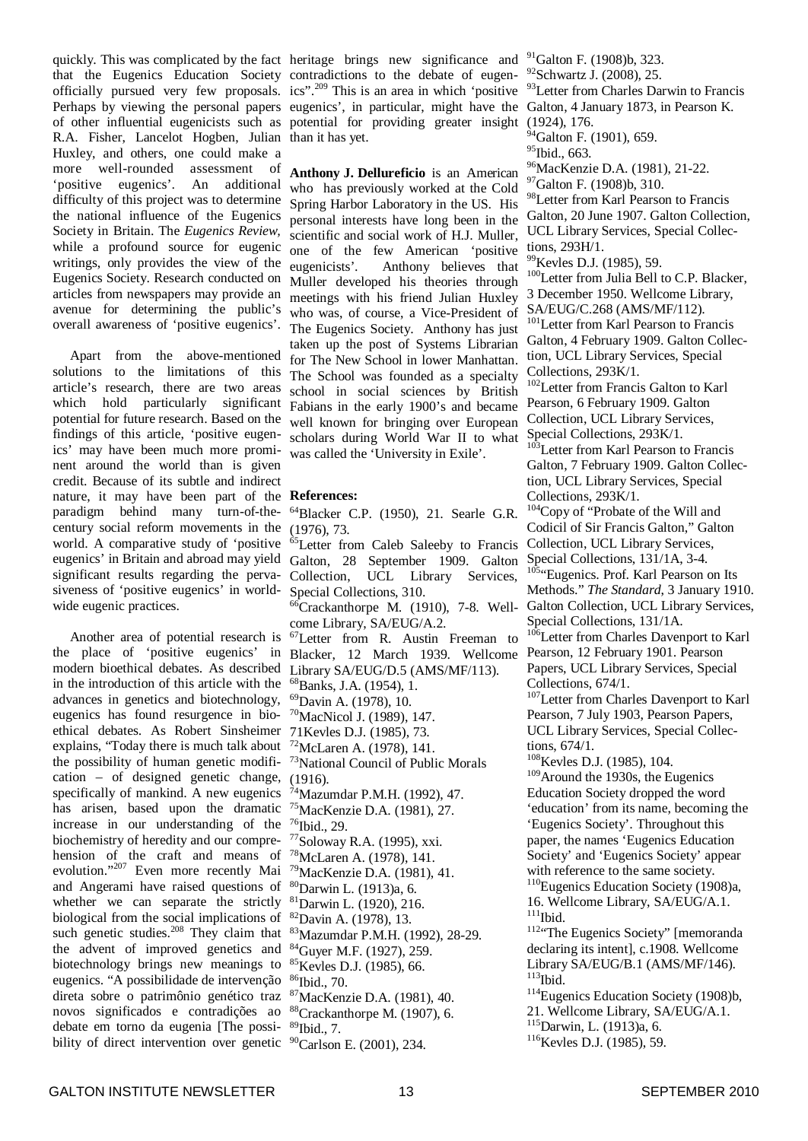that the Eugenics Education Society contradictions to the debate of eugenofficially pursued very few proposals. ics".<sup>209</sup> This is an area in which 'positive <sup>93</sup>Letter from Charles Darwin to Francis Perhaps by viewing the personal papers eugenics', in particular, might have the Galton, 4 January 1873, in Pearson K. of other influential eugenicists such as potential for providing greater insight R.A. Fisher, Lancelot Hogben, Julian Huxley, and others, one could make a more well-rounded assessment of 'positive eugenics'. An additional difficulty of this project was to determine the national influence of the Eugenics Society in Britain. The *Eugenics Review,* while a profound source for eugenic writings, only provides the view of the Eugenics Society. Research conducted on articles from newspapers may provide an avenue for determining the public's overall awareness of 'positive eugenics'.

Apart from the above-mentioned solutions to the limitations of this article's research, there are two areas which hold particularly significant potential for future research. Based on the findings of this article, 'positive eugenics' may have been much more prominent around the world than is given credit. Because of its subtle and indirect nature, it may have been part of the **References:** paradigm behind many turn-of-thecentury social reform movements in the world. A comparative study of 'positive eugenics' in Britain and abroad may yield significant results regarding the pervasiveness of 'positive eugenics' in worldwide eugenic practices.

Another area of potential research is the place of 'positive eugenics' in modern bioethical debates. As described in the introduction of this article with the advances in genetics and biotechnology, eugenics has found resurgence in bioethical debates. As Robert Sinsheimer explains, "Today there is much talk about the possibility of human genetic modification – of designed genetic change, specifically of mankind. A new eugenics has arisen, based upon the dramatic increase in our understanding of the biochemistry of heredity and our comprehension of the craft and means of evolution."<sup>207</sup> Even more recently Mai and Angerami have raised questions of whether we can separate the strictly biological from the social implications of such genetic studies.<sup>208</sup> They claim that the advent of improved genetics and biotechnology brings new meanings to eugenics. "A possibilidade de intervenção direta sobre o patrimônio genético traz novos significados e contradições ao debate em torno da eugenia [The possibility of direct intervention over genetic <sup>90</sup>Carlson E. (2001), 234.

quickly. This was complicated by the fact heritage brings new significance and <sup>91</sup>Galton F. (1908)b, 323. than it has yet.

> **Anthony J. Dellureficio** is an American who has previously worked at the Cold Spring Harbor Laboratory in the US. His personal interests have long been in the scientific and social work of H.J. Muller, one of the few American 'positive eugenicists'. Anthony believes that Muller developed his theories through meetings with his friend Julian Huxley who was, of course, a Vice-President of The Eugenics Society. Anthony has just taken up the post of Systems Librarian for The New School in lower Manhattan. The School was founded as a specialty school in social sciences by British Fabians in the early 1900's and became well known for bringing over European scholars during World War II to what was called the 'University in Exile'.

 $64B$ lacker C.P. (1950), 21. Searle G.R. (1976), 73. <sup>65</sup>Letter from Caleb Saleeby to Francis Galton, 28 September 1909. Galton Collection, UCL Library Services, Special Collections, 310.  ${}^{6}$ Crackanthorpe M. (1910), 7-8. Wellcome Library, SA/EUG/A.2. <sup>67</sup>Letter from R. Austin Freeman to Blacker, 12 March 1939. Wellcome Library SA/EUG/D.5 (AMS/MF/113). <sup>68</sup>Banks, J.A. (1954), 1. <sup>69</sup>Davin A. (1978), 10. <sup>70</sup>MacNicol J. (1989), 147. 71Kevles D.J. (1985), 73.  $72$ McLaren A. (1978), 141. <sup>73</sup>National Council of Public Morals  $(1916)$ .  $^{74}$ Mazumdar P.M.H. (1992), 47. <sup>75</sup>MacKenzie D.A. (1981), 27. 76 Ibid., 29. 77 Soloway R.A. (1995), xxi. <sup>78</sup>McLaren A. (1978), 141. <sup>79</sup>MacKenzie D.A. (1981), 41. <sup>80</sup>Darwin L. (1913)a, 6. <sup>81</sup>Darwin L. (1920), 216. <sup>82</sup>Davin A. (1978), 13. <sup>83</sup>Mazumdar P.M.H. (1992), 28-29. <sup>84</sup>Guyer M.F. (1927), 259. <sup>85</sup>Kevles D.J. (1985), 66. 86 Ibid., 70. <sup>87</sup>MacKenzie D.A. (1981), 40. <sup>88</sup>Crackanthorpe M. (1907), 6. 89 Ibid., 7.

<sup>92</sup>Schwartz J. (2008), 25.

(1924), 176.

 $^{4}$ Galton F. (1901), 659.

<sup>95</sup>Ibid., 663.

<sup>96</sup>MacKenzie D.A. (1981), 21-22.

<sup>97</sup>Galton F. (1908)b, 310.

<sup>98</sup>Letter from Karl Pearson to Francis Galton, 20 June 1907. Galton Collection, UCL Library Services, Special Collections, 293H/1.

<sup>99</sup>Kevles D.J. (1985), 59.

<sup>100</sup>Letter from Julia Bell to C.P. Blacker, 3 December 1950. Wellcome Library, SA/EUG/C.268 (AMS/MF/112).

<sup>101</sup>Letter from Karl Pearson to Francis Galton, 4 February 1909. Galton Collection, UCL Library Services, Special Collections, 293K/1.

<sup>102</sup>Letter from Francis Galton to Karl Pearson, 6 February 1909. Galton Collection, UCL Library Services, Special Collections, 293K/1.

<sup>103</sup>Letter from Karl Pearson to Francis Galton, 7 February 1909. Galton Collection, UCL Library Services, Special Collections, 293K/1.

<sup>104</sup>Copy of "Probate of the Will and Codicil of Sir Francis Galton," Galton Collection, UCL Library Services, Special Collections, 131/1A, 3-4.

<sup>105</sup>"Eugenics. Prof. Karl Pearson on Its Methods." *The Standard*, 3 January 1910. Galton Collection, UCL Library Services, Special Collections, 131/1A.

<sup>106</sup>Letter from Charles Davenport to Karl Pearson, 12 February 1901. Pearson Papers, UCL Library Services, Special Collections, 674/1.

<sup>107</sup>Letter from Charles Davenport to Karl Pearson, 7 July 1903, Pearson Papers, UCL Library Services, Special Collections, 674/1.

<sup>108</sup>Kevles D.J. (1985), 104.

<sup>109</sup>Around the 1930s, the Eugenics Education Society dropped the word 'education' from its name, becoming the 'Eugenics Society'. Throughout this paper, the names 'Eugenics Education Society' and 'Eugenics Society' appear with reference to the same society. <sup>110</sup>Eugenics Education Society (1908)a,

16. Wellcome Library, SA/EUG/A.1. 111 Ibid.

<sup>112</sup>"The Eugenics Society" [memoranda declaring its intent], c.1908. Wellcome Library SA/EUG/B.1 (AMS/MF/146). 113 Ibid.

<sup>114</sup>Eugenics Education Society (1908)b,

21. Wellcome Library, SA/EUG/A.1. <sup>115</sup>Darwin, L. (1913)a, 6.

 $116$ Kevles D.J. (1985), 59.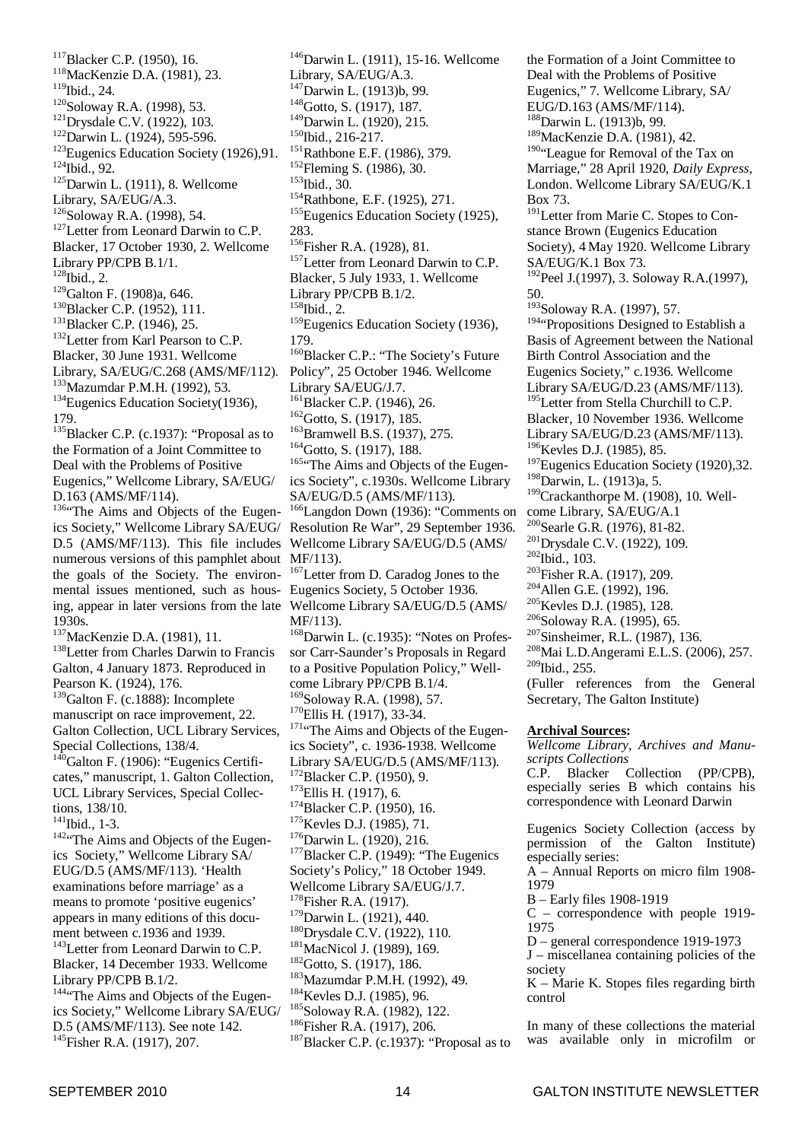<sup>117</sup>Blacker C.P. (1950), 16. <sup>118</sup>MacKenzie D.A. (1981), 23. 119 Ibid., 24. 120 Soloway R.A. (1998), 53. <sup>121</sup>Drysdale C.V. (1922), 103. <sup>122</sup>Darwin L. (1924), 595-596. <sup>123</sup>Eugenics Education Society (1926), 91. 124 Ibid., 92. <sup>125</sup>Darwin L. (1911), 8. Wellcome Library, SA/EUG/A.3. 126 Soloway R.A. (1998), 54. <sup>127</sup>Letter from Leonard Darwin to C.P. Blacker, 17 October 1930, 2. Wellcome Library PP/CPB B.1/1.  $128$  Ibid., 2. <sup>129</sup>Galton F. (1908)a, 646. <sup>130</sup>Blacker C.P. (1952), 111. <sup>131</sup>Blacker C.P. (1946), 25. <sup>132</sup>Letter from Karl Pearson to C.P. Blacker, 30 June 1931. Wellcome Library, SA/EUG/C.268 (AMS/MF/112). <sup>133</sup>Mazumdar P.M.H. (1992), 53. <sup>134</sup>Eugenics Education Society(1936), 179. <sup>135</sup>Blacker C.P. (c.1937): "Proposal as to the Formation of a Joint Committee to Deal with the Problems of Positive Eugenics," Wellcome Library, SA/EUG/ D.163 (AMS/MF/114). <sup>136</sup> The Aims and Objects of the Eugenics Society," Wellcome Library SA/EUG/ D.5 (AMS/MF/113). This file includes numerous versions of this pamphlet about the goals of the Society. The environmental issues mentioned, such as housing, appear in later versions from the late 1930s. <sup>137</sup>MacKenzie D.A. (1981), 11. <sup>138</sup>Letter from Charles Darwin to Francis Galton, 4 January 1873. Reproduced in Pearson K. (1924), 176. <sup>139</sup>Galton F. (c.1888): Incomplete manuscript on race improvement, 22. Galton Collection, UCL Library Services, Special Collections, 138/4.  $140$ Galton F. (1906): "Eugenics Certificates," manuscript, 1. Galton Collection, UCL Library Services, Special Collections, 138/10. 141 Ibid., 1-3. <sup>142</sup><sup>42</sup>The Aims and Objects of the Eugenics Society," Wellcome Library SA/ EUG/D.5 (AMS/MF/113). 'Health examinations before marriage' as a means to promote 'positive eugenics' appears in many editions of this document between c.1936 and 1939. <sup>143</sup>Letter from Leonard Darwin to C.P. Blacker, 14 December 1933. Wellcome Library PP/CPB B.1/2. 144"The Aims and Objects of the Eugenics Society," Wellcome Library SA/EUG/ D.5 (AMS/MF/113). See note 142.

<sup>146</sup>Darwin L. (1911), 15-16. Wellcome Library, SA/EUG/A.3. <sup>147</sup>Darwin L. (1913)b, 99. <sup>148</sup>Gotto, S. (1917), 187. <sup>149</sup>Darwin L. (1920), 215. 150 Ibid., 216-217. <sup>151</sup>Rathbone E.F. (1986), 379. <sup>152</sup> Fleming S. (1986), 30. 153 Ibid., 30. <sup>154</sup>Rathbone, E.F. (1925), 271. <sup>155</sup>Eugenics Education Society (1925), 283. 156 Fisher R.A. (1928), 81. <sup>157</sup>Letter from Leonard Darwin to C.P. Blacker, 5 July 1933, 1. Wellcome Library PP/CPB B.1/2. 158 Ibid., 2. <sup>159</sup>Eugenics Education Society (1936), 179. <sup>160</sup>Blacker C.P.: "The Society's Future Policy", 25 October 1946. Wellcome Library SA/EUG/J.7. <sup>161</sup>Blacker C.P. (1946), 26.  $162$ Gotto, S. (1917), 185. <sup>163</sup>Bramwell B.S. (1937), 275. <sup>164</sup>Gotto, S. (1917), 188. <sup>165</sup>"The Aims and Objects of the Eugenics Society", c.1930s. Wellcome Library SA/EUG/D.5 (AMS/MF/113). <sup>166</sup>Langdon Down (1936): "Comments on Resolution Re War", 29 September 1936. Wellcome Library SA/EUG/D.5 (AMS/ MF/113). <sup>167</sup>Letter from D. Caradog Jones to the Eugenics Society, 5 October 1936. Wellcome Library SA/EUG/D.5 (AMS/ MF/113). <sup>168</sup>Darwin L. (c.1935): "Notes on Professor Carr-Saunder's Proposals in Regard to a Positive Population Policy," Wellcome Library PP/CPB B.1/4. 169 Soloway R.A. (1998), 57. <sup>170</sup>Ellis H. (1917), 33-34. <sup>171</sup>"The Aims and Objects of the Eugenics Society", c. 1936-1938. Wellcome Library SA/EUG/D.5 (AMS/MF/113). <sup>172</sup>Blacker C.P. (1950), 9. <sup>173</sup>Ellis H. (1917), 6. <sup>174</sup>Blacker C.P. (1950), 16. <sup>175</sup>Kevles D.J. (1985), 71. <sup>176</sup>Darwin L. (1920), 216. <sup>177</sup>Blacker C.P. (1949): "The Eugenics Society's Policy," 18 October 1949. Wellcome Library SA/EUG/J.7. <sup>178</sup> Fisher R.A. (1917).  $179$ Darwin L. (1921), 440. <sup>180</sup>Drysdale C.V. (1922), 110. <sup>181</sup>MacNicol J. (1989), 169. <sup>182</sup>Gotto, S. (1917), 186. <sup>183</sup>Mazumdar P.M.H. (1992), 49. <sup>184</sup>Kevles D.J. (1985), 96. 185 Soloway R.A. (1982), 122. 186 Fisher R.A. (1917), 206.  $^{187}$ Blacker C.P. (c.1937): "Proposal as to

the Formation of a Joint Committee to Deal with the Problems of Positive Eugenics," 7. Wellcome Library, SA/ EUG/D.163 (AMS/MF/114). <sup>188</sup>Darwin L. (1913)b, 99. <sup>189</sup>MacKenzie D.A. (1981), 42. <sup>190</sup>"League for Removal of the Tax on Marriage," 28 April 1920, *Daily Express*, London. Wellcome Library SA/EUG/K.1 Box 73. <sup>191</sup>Letter from Marie C. Stopes to Constance Brown (Eugenics Education Society), 4 May 1920. Wellcome Library SA/EUG/K.1 Box 73. <sup>192</sup>Peel J.(1997), 3. Soloway R.A.(1997), 50. <sup>193</sup>Soloway R.A. (1997), 57. <sup>194</sup>"Propositions Designed to Establish a Basis of Agreement between the National Birth Control Association and the Eugenics Society," c.1936. Wellcome Library SA/EUG/D.23 (AMS/MF/113). <sup>195</sup>Letter from Stella Churchill to C.P. Blacker, 10 November 1936. Wellcome Library SA/EUG/D.23 (AMS/MF/113). <sup>196</sup>Kevles D.J. (1985), 85.  $197$ Eugenics Education Society (1920), 32. <sup>198</sup>Darwin, L. (1913)a, 5. <sup>199</sup>Crackanthorpe M. (1908), 10. Wellcome Library, SA/EUG/A.1 200 Searle G.R. (1976), 81-82. <sup>201</sup>Drysdale C.V. (1922), 109. 202 Ibid., 103. <sup>203</sup> Fisher R.A. (1917), 209. <sup>204</sup> Allen G.E. (1992), 196. <sup>205</sup>Kevles D.J. (1985), 128. 206 Soloway R.A. (1995), 65. <sup>207</sup>Sinsheimer, R.L. (1987), 136. <sup>208</sup>Mai L.D.Angerami E.L.S. (2006), 257.  $209$ Ibid., 255. (Fuller references from the General Secretary, The Galton Institute) **Archival Sources:** *Wellcome Library, Archives and Manuscripts Collections* C.P. Blacker Collection (PP/CPB), especially series B which contains his correspondence with Leonard Darwin Eugenics Society Collection (access by permission of the Galton Institute) especially series: A – Annual Reports on micro film 1908- 1979 B – Early files 1908-1919 C – correspondence with people 1919- 1975 D – general correspondence 1919-1973 J – miscellanea containing policies of the society K – Marie K. Stopes files regarding birth control In many of these collections the material was available only in microfilm or

<sup>145</sup> Fisher R.A. (1917), 207.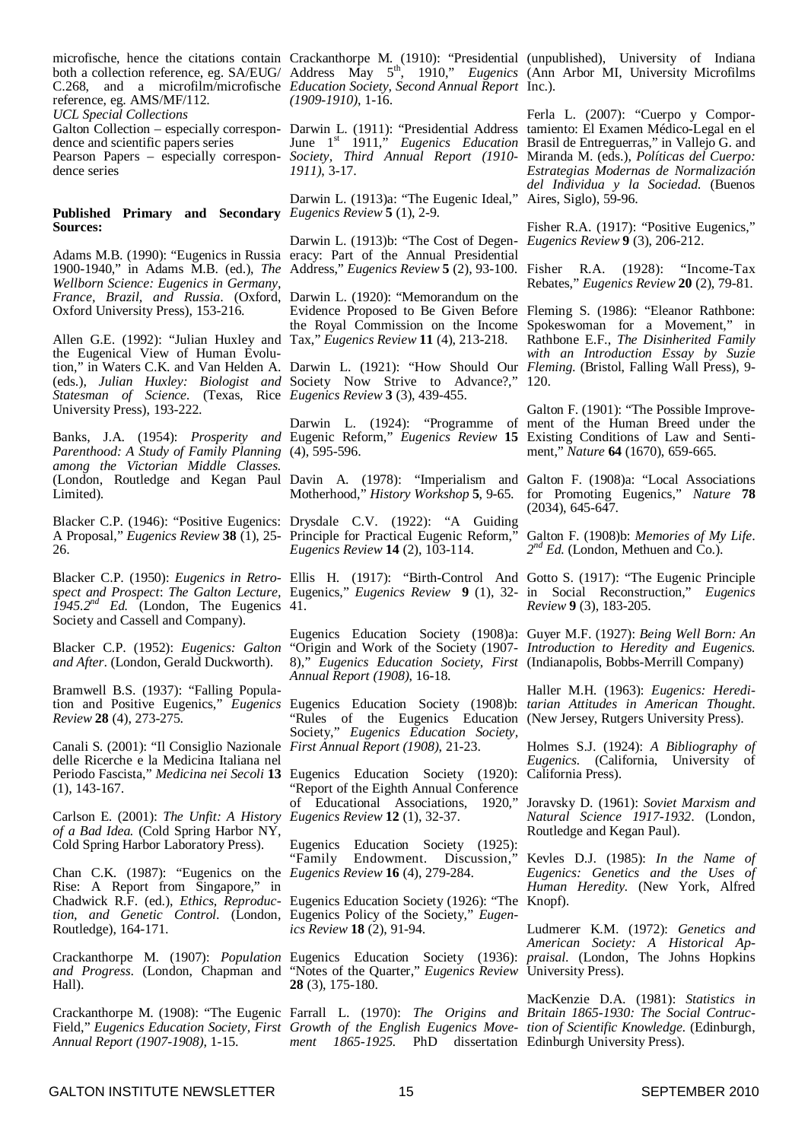microfische, hence the citations contain both a collection reference, eg. SA/EUG/ C.268, and a microfilm/microfische *Education Society, Second Annual Report* Inc.). reference, eg. AMS/MF/112. *UCL Special Collections*

Galton Collection – especially correspondence and scientific papers series Pearson Papers – especially correspondence series

#### **Published Primary and Secondary** *Eugenics Review* **5** (1), 2-9. **Sources:**

Adams M.B. (1990): "Eugenics in Russia 1900-1940," in Adams M.B. (ed.), *The* Address," *Eugenics Review* **5** (2), 93-100. Fisher R.A. (1928): "Income-Tax *Wellborn Science: Eugenics in Germany, France, Brazil, and Russia*. (Oxford, Darwin L. (1920): "Memorandum on the Oxford University Press), 153-216.

Allen G.E. (1992): "Julian Huxley and Tax," *Eugenics Review* **11** (4), 213-218. the Eugenical View of Human Evolution," in Waters C.K. and Van Helden A. Darwin L. (1921): "How Should Our Fleming. (Bristol, Falling Wall Press), 9-(eds.), *Julian Huxley: Biologist and Statesman of Science.* (Texas, Rice University Press), 193-222.

Banks, J.A. (1954): *Prosperity and* Eugenic Reform," *Eugenics Review* **15** *Parenthood: A Study of Family Planning* (4), 595-596. *among the Victorian Middle Classes.* Limited).

Blacker C.P. (1946): "Positive Eugenics: Drysdale C.V. (1922): "A Guiding A Proposal," *Eugenics Review* **38** (1), 25- Principle for Practical Eugenic Reform," 26.

Blacker C.P. (1950): *Eugenics in Retrospect and Prospect*: *The Galton Lecture,*  $\int$ *1945.2<sup>nd</sup> Ed.* (London, The Eugenics 41.) Society and Cassell and Company).

Blacker C.P. (1952): *Eugenics: Galton and After*. (London, Gerald Duckworth).

Bramwell B.S. (1937): "Falling Population and Positive Eugenics," *Eugenics* Eugenics Education Society (1908)b: *tarian Attitudes in American Thought*. *Review* **28** (4), 273-275.

Canali S. (2001): "Il Consiglio Nazionale delle Ricerche e la Medicina Italiana nel Periodo Fascista," *Medicina nei Secoli* **13** Eugenics Education Society (1920): (1), 143-167.

Carlson E. (2001): *The Unfit: A History Eugenics Review* **12** (1), 32-37. *of a Bad Idea.* (Cold Spring Harbor NY, Cold Spring Harbor Laboratory Press).

Chan C.K. (1987): "Eugenics on the *Eugenics Review* **16** (4), 279-284. Rise: A Report from Singapore," in tion, and Genetic Control. (London, Eugenics Policy of the Society," Eugen-Routledge), 164-171.

Crackanthorpe M. (1907): *Population and Progress*. (London, Chapman and Hall).

*Annual Report (1907-1908)*, 1-15.

Crackanthorpe M. (1910): "Presidential Address May 5 th , 1910," *Eugenics (1909-1910)*, 1-16.

Darwin L. (1911): "Presidential Address June 1 st 1911," *Eugenics Education Society, Third Annual Report (1910-* Miranda M. (eds.), *Políticas del Cuerpo: 1911)*, 3-17.

Darwin L. (1913)a: "The Eugenic Ideal," Aires, Siglo), 59-96.

Darwin L. (1913)b: "The Cost of Degeneracy: Part of the Annual Presidential

Evidence Proposed to Be Given Before Fleming S. (1986): "Eleanor Rathbone: the Royal Commission on the Income Spokeswoman for a Movement," in

Society Now Strive to Advance?," *Eugenics Review* **3** (3), 439-455.

Darwin L. (1924): "Programme of ment of the Human Breed under the

(London, Routledge and Kegan Paul Davin A. (1978): "Imperialism and Galton F. (1908)a: "Local Associations Motherhood," *History Workshop* **5**, 9-65.

*Eugenics Review* **14** (2), 103-114.

Ellis H. (1917): "Birth-Control And Eugenics," *Eugenics Review* **9** (1), 32-

Eugenics Education Society (1908)a: Guyer M.F. (1927): *Being Well Born: An* "Origin and Work of the Society (1907- *Introduction to Heredity and Eugenics.* 8)," *Eugenics Education Society, First* (Indianapolis, Bobbs-Merrill Company) *Annual Report (1908)*, 16-18.

"Rules of the Eugenics Education (New Jersey, Rutgers University Press). Society," *Eugenics Education Society, First Annual Report (1908)*, 21-23.

"Report of the Eighth Annual Conference of Educational Associations, 1920,"

Eugenics Education Society (1925):<br>
"Family Endowment. Discussion," Endowment. Discussion,

Chadwick R.F. (ed.), *Ethics, Reproduc-*Eugenics Education Society (1926): "The Knopf). *ics Review* **18** (2), 91-94.

> Eugenics Education Society (1936): "Notes of the Quarter," *Eugenics Review* University Press). **28** (3), 175-180.

*ment 1865-1925.* PhD dissertation Edinburgh University Press).

(unpublished), University of Indiana (Ann Arbor MI, University Microfilms

Ferla L. (2007): "Cuerpo y Comportamiento: El Examen Médico-Legal en el Brasil de Entreguerras," in Vallejo G. and *Estrategias Modernas de Normalización del Individua y la Sociedad*. (Buenos

Fisher R.A. (1917): "Positive Eugenics," *Eugenics Review* **9** (3), 206-212.

Rebates," *Eugenics Review* **20** (2), 79-81.

Rathbone E.F., *The Disinherited Family with an Introduction Essay by Suzie* 120.

Galton F. (1901): "The Possible Improve-Existing Conditions of Law and Sentiment," *Nature* **64** (1670), 659-665.

for Promoting Eugenics," *Nature* **78** (2034), 645-647.

Galton F. (1908)b: *Memories of My Life*. 2<sup>nd</sup> Ed. (London, Methuen and Co.).

Gotto S. (1917): "The Eugenic Principle in Social Reconstruction," *Eugenics Review* **9** (3), 183-205.

Haller M.H. (1963): *Eugenics: Heredi-*

Holmes S.J. (1924): *A Bibliography of Eugenics.* (California, University of California Press).

Joravsky D. (1961): *Soviet Marxism and Natural Science 1917-1932*. (London, Routledge and Kegan Paul).

Kevles D.J. (1985): *In the Name of Eugenics: Genetics and the Uses of Human Heredity.* (New York, Alfred

Ludmerer K.M. (1972): *Genetics and American Society: A Historical Appraisal*. (London, The Johns Hopkins

Crackanthorpe M. (1908): "The Eugenic Farrall L. (1970): *The Origins and Britain 1865-1930: The Social Contruc-*Field," *Eugenics Education Society, First Growth of the English Eugenics Move-tion of Scientific Knowledge.* (Edinburgh, MacKenzie D.A. (1981): *Statistics in*